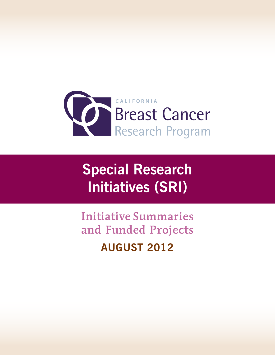

# **Special Research Initiatives (SRI)**

Initiative Summaries and Funded Projects **August 2012**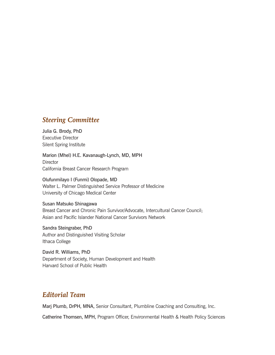#### *Steering Committee*

Julia G. Brody, PhD Executive Director Silent Spring Institute

Marion (Mhel) H.E. Kavanaugh-Lynch, MD, MPH **Director** California Breast Cancer Research Program

Olufunmilayo I (Funmi) Olopade, MD Walter L. Palmer Distinguished Service Professor of Medicine University of Chicago Medical Center

Susan Matsuko Shinagawa Breast Cancer and Chronic Pain Survivor/Advocate, Intercultural Cancer Council; Asian and Pacific Islander National Cancer Survivors Network

Sandra Steingraber, PhD Author and Distinguished Visiting Scholar Ithaca College

David R. Williams, PhD Department of Society, Human Development and Health Harvard School of Public Health

### *Editorial Team*

Marj Plumb, DrPH, MNA, Senior Consultant, Plumbline Coaching and Consulting, Inc.

Catherine Thomsen, MPH, Program Officer, Environmental Health & Health Policy Sciences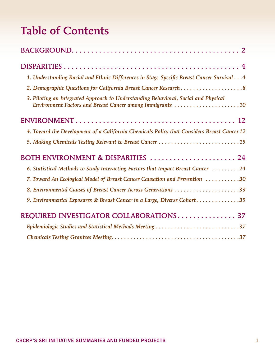## Table of Contents

| 1. Understanding Racial and Ethnic Differences in Stage-Specific Breast Cancer Survival4                                                         |  |
|--------------------------------------------------------------------------------------------------------------------------------------------------|--|
| 2. Demographic Questions for California Breast Cancer Research8                                                                                  |  |
| 3. Piloting an Integrated Approach to Understanding Behavioral, Social and Physical<br>Environment Factors and Breast Cancer among Immigrants 10 |  |
|                                                                                                                                                  |  |
| 4. Toward the Development of a California Chemicals Policy that Considers Breast Cancer 12                                                       |  |
| 5. Making Chemicals Testing Relevant to Breast Cancer 15                                                                                         |  |
| BOTH ENVIRONMENT & DISPARITIES  24                                                                                                               |  |
| 6. Statistical Methods to Study Interacting Factors that Impact Breast Cancer 24                                                                 |  |
| 7. Toward An Ecological Model of Breast Cancer Causation and Prevention 30                                                                       |  |
|                                                                                                                                                  |  |
| 9. Environmental Exposures & Breast Cancer in a Large, Diverse Cohort35                                                                          |  |
| REQUIRED INVESTIGATOR COLLABORATIONS 37                                                                                                          |  |
| Epidemiologic Studies and Statistical Methods Meeting 37                                                                                         |  |
|                                                                                                                                                  |  |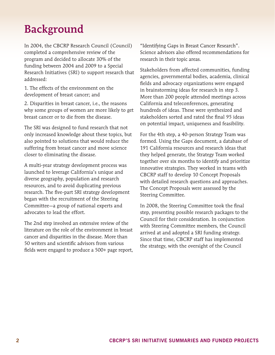## <span id="page-3-0"></span>Background

In 2004, the CBCRP Research Council (Council) completed a comprehensive review of the program and decided to allocate 30% of the funding between 2004 and 2009 to a Special Research Initiatives (SRI) to support research that addressed:

1. The effects of the environment on the development of breast cancer; and

2. Disparities in breast cancer, i.e., the reasons why some groups of women are more likely to get breast cancer or to die from the disease.

The SRI was designed to fund research that not only increased knowledge about these topics, but also pointed to solutions that would reduce the suffering from breast cancer and move science closer to eliminating the disease.

A multi-year strategy development process was launched to leverage California's unique and diverse geography, population and research resources, and to avoid duplicating previous research. The five-part SRI strategy development began with the recruitment of the Steering Committee—a group of national experts and advocates to lead the effort.

The 2nd step involved an extensive review of the literature on the role of the environment in breast cancer and disparities in the disease. More than 50 writers and scientific advisors from various fields were engaged to produce a 500+ page report, "Identifying Gaps in Breast Cancer Research". Science advisors also offered recommendations for research in their topic areas.

Stakeholders from affected communities, funding agencies, governmental bodies, academia, clinical fields and advocacy organizations were engaged in brainstorming ideas for research in step 3. More than 200 people attended meetings across California and teleconferences, generating hundreds of ideas. These were synthesized and stakeholders sorted and rated the final 95 ideas on potential impact, uniqueness and feasibility.

For the 4th step, a 40-person Strategy Team was formed. Using the Gaps document, a database of 191 California resources and research ideas that they helped generate, the Strategy Team worked together over six months to identify and prioritize innovative strategies. They worked in teams with CBCRP staff to develop 10 Concept Proposals with detailed research questions and approaches. The Concept Proposals were assessed by the Steering Committee.

In 2008, the Steering Committee took the final step, presenting possible research packages to the Council for their consideration. In conjunction with Steering Committee members, the Council arrived at and adopted a SRI funding strategy. Since that time, CBCRP staff has implemented the strategy, with the oversight of the Council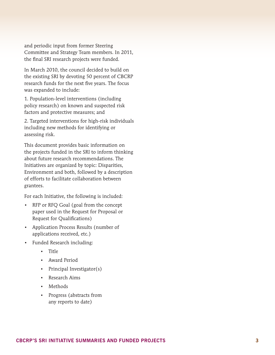and periodic input from former Steering Committee and Strategy Team members. In 2011, the final SRI research projects were funded.

In March 2010, the council decided to build on the existing SRI by devoting 50 percent of CBCRP research funds for the next five years. The focus was expanded to include:

1. Population-level interventions (including policy research) on known and suspected risk factors and protective measures; and

2. Targeted interventions for high-risk individuals including new methods for identifying or assessing risk.

This document provides basic information on the projects funded in the SRI to inform thinking about future research recommendations. The Initiatives are organized by topic: Disparities, Environment and both, followed by a description of efforts to facilitate collaboration between grantees.

For each Initiative, the following is included:

- RFP or RFQ Goal (goal from the concept paper used in the Request for Proposal or Request for Qualifications)
- • Application Process Results (number of applications received, etc.)
- • Funded Research including:
	- • Title
	- • Award Period
	- Principal Investigator(s)
	- • Research Aims
	- • Methods
	- • Progress (abstracts from any reports to date)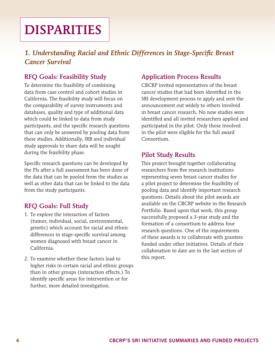# <span id="page-5-0"></span>**DISPARITIES**

## *1. Understanding Racial and Ethnic Differences in Stage-Specific Breast Cancer Survival*

## RFQ Goals: Feasibility Study

To determine the feasibility of combining data from case control and cohort studies in California. The feasibility study will focus on the comparability of survey instruments and databases, quality and type of additional data which could be linked to data from study participants, and the specific research questions that can only be answered by pooling data from these studies. Additionally, IRB and individual study approvals to share data will be sought during the feasibility phase.

Specific research questions can be developed by the PIs after a full assessment has been done of the data that can be pooled from the studies as well as other data that can be linked to the data from the study participants.

#### RFQ Goals: Full Study

- 1. To explore the interaction of factors (tumor, individual, social, environmental, genetic) which account for racial and ethnic differences in stage-specific survival among women diagnosed with breast cancer in California.
- 2. To examine whether these factors lead to higher risks in certain racial and ethnic groups than in other groups (interaction effects.) To identify specific areas for intervention or for further, more detailed investigation.

#### Application Process Results

CBCRP invited representatives of the breast cancer studies that had been identified in the SRI development process to apply and sent the announcement out widely to others involved in breast cancer research. No new studies were identified and all invited researchers applied and participated in the pilot. Only those involved in the pilot were eligible for the full award Consortium.

#### Pilot Study Results

This project brought together collaborating researchers from five research institutions representing seven breast cancer studies for a pilot project to determine the feasibility of pooling data and identify important research questions. Details about the pilot awards are available on the CBCRP website in the Research Portfolio. Based upon that work, this group successfully proposed a 3-year study and the formation of a consortium to address four research questions. One of the requirements of these awards is to collaborate with grantees funded under other initiatives. Details of their collaboration to date are in the last section of this report.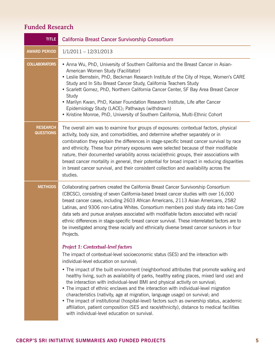| <b>TITLE</b>                        | California Breast Cancer Survivorship Consortium                                                                                                                                                                                                                                                                                                                                                                                                                                                                                                                                                                                                                                                                                                                                                                                                                      |
|-------------------------------------|-----------------------------------------------------------------------------------------------------------------------------------------------------------------------------------------------------------------------------------------------------------------------------------------------------------------------------------------------------------------------------------------------------------------------------------------------------------------------------------------------------------------------------------------------------------------------------------------------------------------------------------------------------------------------------------------------------------------------------------------------------------------------------------------------------------------------------------------------------------------------|
| <b>AWARD PERIOD</b>                 | $1/1/2011 - 12/31/2013$                                                                                                                                                                                                                                                                                                                                                                                                                                                                                                                                                                                                                                                                                                                                                                                                                                               |
| <b>COLLABORATORS</b>                | • Anna Wu, PhD, University of Southern California and the Breast Cancer in Asian-<br>American Women Study (Facilitator)<br>• Leslie Bernstein, PhD, Beckman Research Institute of the City of Hope, Women's CARE<br>Study and In Situ Breast Cancer Study, California Teachers Study<br>• Scarlett Gomez, PhD, Northern California Cancer Center, SF Bay Area Breast Cancer<br>Study<br>• Marilyn Kwan, PhD, Kaiser Foundation Research Institute, Life after Cancer<br>Epidemiology Study (LACE); Pathways (withdrawn)<br>• Kristine Monroe, PhD, University of Southern California, Multi-Ethnic Cohort                                                                                                                                                                                                                                                             |
| <b>RESEARCH</b><br><b>QUESTIONS</b> | The overall aim was to examine four groups of exposures: contextual factors, physical<br>activity, body size, and comorbidities, and determine whether separately or in<br>combination they explain the differences in stage-specific breast cancer survival by race<br>and ethnicity. These four primary exposures were selected because of their modifiable<br>nature, their documented variability across racial/ethnic groups, their associations with<br>breast cancer mortality in general, their potential for broad impact in reducing disparities<br>in breast cancer survival, and their consistent collection and availability across the<br>studies.                                                                                                                                                                                                      |
| <b>METHODS</b>                      | Collaborating partners created the California Breast Cancer Survivorship Consortium<br>(CBCSC), consisting of seven California-based breast cancer studies with over 16,000<br>breast cancer cases, including 2603 African Americans, 2113 Asian Americans, 2582<br>Latinas, and 9306 non-Latina Whites. Consortium members pool study data into two Core<br>data sets and pursue analyses associated with modifiable factors associated with racial/<br>ethnic differences in stage-specific breast cancer survival. These interrelated factors are to<br>be investigated among these racially and ethnically diverse breast cancer survivors in four<br>Projects.                                                                                                                                                                                                   |
|                                     | <b>Project 1: Contextual-level factors</b><br>The impact of contextual-level socioeconomic status (SES) and the interaction with<br>individual-level education on survival;<br>• The impact of the built environment (neighborhood attributes that promote walking and<br>healthy living, such as availability of parks, healthy eating places, mixed land use) and<br>the interaction with individual-level BMI and physical activity on survival;<br>• The impact of ethnic enclaves and the interaction with individual-level migration<br>characteristics (nativity, age at migration, language usage) on survival; and<br>• The impact of institutional (hospital-level) factors such as ownership status, academic<br>affiliation, patient composition (SES and race/ethnicity), distance to medical facilities<br>with individual-level education on survival. |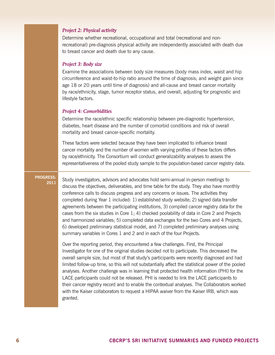#### *Project 2: Physical activity*

Determine whether recreational, occupational and total (recreational and nonrecreational) pre-diagnosis physical activity are independently associated with death due to breast cancer and death due to any cause.

#### *Project 3: Body size*

Examine the associations between body size measures (body mass index, waist and hip circumference and waist-to-hip ratio around the time of diagnosis; and weight gain since age 18 or 20 years until time of diagnosis) and all-cause and breast cancer mortality by race/ethnicity, stage, tumor receptor status, and overall, adjusting for prognostic and lifestyle factors.

#### *Project 4: Comorbidities*

Determine the race/ethnic specific relationship between pre-diagnostic hypertension, diabetes, heart disease and the number of comorbid conditions and risk of overall mortality and breast cancer-specific mortality.

These factors were selected because they have been implicated to influence breast cancer mortality and the number of women with varying profiles of these factors differs by race/ethnicity. The Consortium will conduct generalizability analyses to assess the representativeness of the pooled study sample to the population-based cancer registry data.

#### **Progress:**

**<sup>2011</sup>** Study investigators, advisors and advocates hold semi-annual in-person meetings to discuss the objectives, deliverables, and time table for the study. They also have monthly conference calls to discuss progress and any concerns or issues. The activities they completed during Year 1 included: 1) established study website; 2) signed data transfer agreements between the participating institutions, 3) compiled cancer registry data for the cases from the six studies in Core 1; 4) checked poolability of data in Core 2 and Projects and harmonized variables; 5) completed data exchanges for the two Cores and 4 Projects, 6) developed preliminary statistical model, and 7) completed preliminary analyses using summary variables in Cores 1 and 2 and in each of the four Projects.

Over the reporting period, they encountered a few challenges. First, the Principal Investigator for one of the original studies decided not to participate. This decreased the overall sample size, but most of that study's participants were recently diagnosed and had limited follow-up time, so this will not substantially affect the statistical power of the pooled analyses. Another challenge was in learning that protected health information (PHI) for the LACE participants could not be released. PHI is needed to link the LACE participants to their cancer registry record and to enable the contextual analyses. The Collaborators worked with the Kaiser collaborators to request a HIPAA waiver from the Kaiser IRB, which was granted.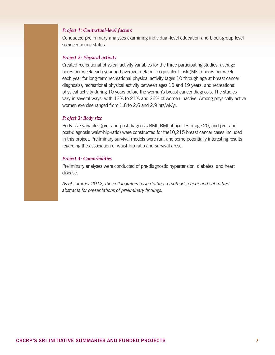#### *Project 1: Contextual-level factors*

Conducted preliminary analyses examining individual-level education and block-group level socioeconomic status

#### *Project 2: Physical activity*

Created recreational physical activity variables for the three participating studies: average hours per week each year and average metabolic equivalent task (MET)-hours per week each year for long-term recreational physical activity (ages 10 through age at breast cancer diagnosis), recreational physical activity between ages 10 and 19 years, and recreational physical activity during 10 years before the woman's breast cancer diagnosis. The studies vary in several ways: with 13% to 21% and 26% of women inactive. Among physically active women exercise ranged from 1.8 to 2.6 and 2.9 hrs/wk/yr.

#### *Project 3: Body size*

Body size variables (pre- and post-diagnosis BMI, BMI at age 18 or age 20, and pre- and post-diagnosis waist-hip-ratio) were constructed for the10,215 breast cancer cases included in this project. Preliminary survival models were run, and some potentially interesting results regarding the association of waist-hip-ratio and survival arose.

#### *Project 4: Comorbidities*

Preliminary analyses were conducted of pre-diagnostic hypertension, diabetes, and heart disease.

*As of summer 2012, the collaborators have drafted a methods paper and submitted abstracts for presentations of preliminary findings.*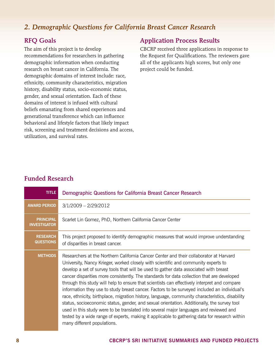## <span id="page-9-0"></span>*2. Demographic Questions for California Breast Cancer Research*

#### RFQ Goals

The aim of this project is to develop recommendations for researchers in gathering demographic information when conducting research on breast cancer in California. The demographic domains of interest include: race, ethnicity, community characteristics, migration history, disability status, socio-economic status, gender, and sexual orientation. Each of these domains of interest is infused with cultural beliefs emanating from shared experiences and generational transference which can influence behavioral and lifestyle factors that likely impact risk, screening and treatment decisions and access, utilization, and survival rates.

#### Application Process Results

CBCRP received three applications in response to the Request for Qualifications. The reviewers gave all of the applicants high scores, but only one project could be funded.

| <b>TITLE</b>                            | Demographic Questions for California Breast Cancer Research                                                                                                                                                                                                                                                                                                                                                                                                                                                                                                                                                                                                                                                                                                                                                                                                                                                                                                                                     |
|-----------------------------------------|-------------------------------------------------------------------------------------------------------------------------------------------------------------------------------------------------------------------------------------------------------------------------------------------------------------------------------------------------------------------------------------------------------------------------------------------------------------------------------------------------------------------------------------------------------------------------------------------------------------------------------------------------------------------------------------------------------------------------------------------------------------------------------------------------------------------------------------------------------------------------------------------------------------------------------------------------------------------------------------------------|
| <b>AWARD PERIOD</b>                     | $3/1/2009 - 2/29/2012$                                                                                                                                                                                                                                                                                                                                                                                                                                                                                                                                                                                                                                                                                                                                                                                                                                                                                                                                                                          |
| <b>PRINCIPAL</b><br><b>INVESTIGATOR</b> | Scarlet Lin Gomez, PhD, Northern California Cancer Center                                                                                                                                                                                                                                                                                                                                                                                                                                                                                                                                                                                                                                                                                                                                                                                                                                                                                                                                       |
| <b>RESEARCH</b><br><b>QUESTIONS</b>     | This project proposed to identify demographic measures that would improve understanding<br>of disparities in breast cancer.                                                                                                                                                                                                                                                                                                                                                                                                                                                                                                                                                                                                                                                                                                                                                                                                                                                                     |
| <b>METHODS</b>                          | Researchers at the Northern California Cancer Center and their collaborator at Harvard<br>University, Nancy Krieger, worked closely with scientific and community experts to<br>develop a set of survey tools that will be used to gather data associated with breast<br>cancer disparities more consistently. The standards for data collection that are developed<br>through this study will help to ensure that scientists can effectively interpret and compare<br>information they use to study breast cancer. Factors to be surveyed included an individual's<br>race, ethnicity, birthplace, migration history, language, community characteristics, disability<br>status, socioeconomic status, gender, and sexual orientation. Additionally, the survey tool<br>used in this study were to be translated into several major languages and reviewed and<br>tested by a wide range of experts, making it applicable to gathering data for research within<br>many different populations. |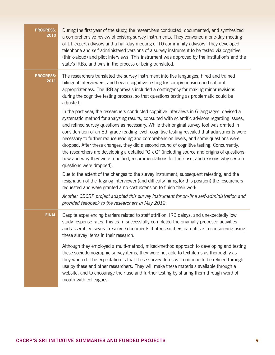| <b>PROGRESS:</b><br>2010 | During the first year of the study, the researchers conducted, documented, and synthesized<br>a comprehensive review of existing survey instruments. They convened a one-day meeting<br>of 11 expert advisors and a half-day meeting of 10 community advisors. They developed<br>telephone and self-administered versions of a survey instrument to be tested via cognitive<br>(think-aloud) and pilot interviews. This instrument was approved by the institution's and the<br>state's IRBs, and was in the process of being translated.                                                                                                                                                                                                                                                                        |
|--------------------------|------------------------------------------------------------------------------------------------------------------------------------------------------------------------------------------------------------------------------------------------------------------------------------------------------------------------------------------------------------------------------------------------------------------------------------------------------------------------------------------------------------------------------------------------------------------------------------------------------------------------------------------------------------------------------------------------------------------------------------------------------------------------------------------------------------------|
| <b>PROGRESS:</b><br>2011 | The researchers translated the survey instrument into five languages, hired and trained<br>bilingual interviewers, and began cognitive testing for comprehension and cultural<br>appropriateness. The IRB approvals included a contingency for making minor revisions<br>during the cognitive testing process, so that questions testing as problematic could be<br>adjusted.                                                                                                                                                                                                                                                                                                                                                                                                                                    |
|                          | In the past year, the researchers conducted cognitive interviews in 6 languages, devised a<br>systematic method for analyzing results, consulted with scientific advisors regarding issues,<br>and refined survey questions as necessary. While their original survey tool was drafted in<br>consideration of an 8th grade reading level, cognitive testing revealed that adjustments were<br>necessary to further reduce reading and comprehension levels, and some questions were<br>dropped. After these changes, they did a second round of cognitive testing. Concurrently,<br>the researchers are developing a detailed " $Q \times Q$ " (including source and origins of questions,<br>how and why they were modified, recommendations for their use, and reasons why certain<br>questions were dropped). |
|                          | Due to the extent of the changes to the survey instrument, subsequent retesting, and the<br>resignation of the Tagalog interviewer (and difficulty hiring for this position) the researchers<br>requested and were granted a no cost extension to finish their work.                                                                                                                                                                                                                                                                                                                                                                                                                                                                                                                                             |
|                          | Another CBCRP project adapted this survey instrument for on-line self-administration and<br>provided feedback to the researchers in May 2012.                                                                                                                                                                                                                                                                                                                                                                                                                                                                                                                                                                                                                                                                    |
| <b>FINAL</b>             | Despite experiencing barriers related to staff attrition, IRB delays, and unexpectedly low<br>study response rates, this team successfully completed the originally proposed activities<br>and assembled several resource documents that researchers can utilize in considering using<br>these survey items in their research.                                                                                                                                                                                                                                                                                                                                                                                                                                                                                   |
|                          | Although they employed a multi-method, mixed-method approach to developing and testing<br>these sociodemographic survey items, they were not able to text items as thoroughly as<br>they wanted. The expectation is that these survey items will continue to be refined through<br>use by these and other researchers. They will make these materials available through a<br>website, and to encourage their use and further testing by sharing them through word of<br>mouth with colleagues.                                                                                                                                                                                                                                                                                                                   |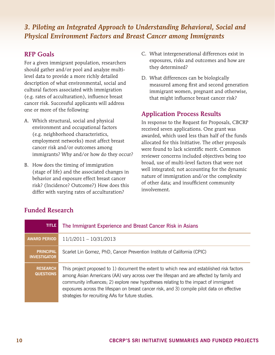## <span id="page-11-0"></span>*3. Piloting an Integrated Approach to Understanding Behavioral, Social and Physical Environment Factors and Breast Cancer among Immigrants*

### RFP Goals

For a given immigrant population, researchers should gather and/or pool and analyze multilevel data to provide a more richly detailed description of what environmental, social and cultural factors associated with immigration (e.g. rates of acculturation), influence breast cancer risk. Successful applicants will address one or more of the following:

- A. Which structural, social and physical environment and occupational factors (e.g. neighborhood characteristics, employment networks) most affect breast cancer risk and/or outcomes among immigrants? Why and/or how do they occur?
- B. How does the timing of immigration (stage of life) and the associated changes in behavior and exposure effect breast cancer risk? (Incidence? Outcome?) How does this differ with varying rates of acculturation?
- C. What intergenerational differences exist in exposures, risks and outcomes and how are they determined?
- D. What differences can be biologically measured among first and second generation immigrant women, pregnant and otherwise, that might influence breast cancer risk?

### Application Process Results

In response to the Request for Proposals, CBCRP received seven applications. One grant was awarded, which used less than half of the funds allocated for this Initiative. The other proposals were found to lack scientific merit. Common reviewer concerns included objectives being too broad, use of multi-level factors that were not well integrated; not accounting for the dynamic nature of immigration and/or the complexity of other data; and insufficient community involvement.

| <b>TITLE</b>                            | The Immigrant Experience and Breast Cancer Risk in Asians                                                                                                                                                                                                                                                                                                                                                                       |
|-----------------------------------------|---------------------------------------------------------------------------------------------------------------------------------------------------------------------------------------------------------------------------------------------------------------------------------------------------------------------------------------------------------------------------------------------------------------------------------|
| <b>AWARD PERIOD</b>                     | $11/1/2011 - 10/31/2013$                                                                                                                                                                                                                                                                                                                                                                                                        |
| <b>PRINCIPAL</b><br><b>INVESTIGATOR</b> | Scarlet Lin Gomez, PhD, Cancer Prevention Institute of California (CPIC)                                                                                                                                                                                                                                                                                                                                                        |
| <b>RESEARCH</b><br><b>QUESTIONS</b>     | This project proposed to 1) document the extent to which new and established risk factors<br>among Asian Americans (AA) vary across over the lifespan and are affected by family and<br>community influences; 2) explore new hypotheses relating to the impact of immigrant<br>exposures across the lifespan on breast cancer risk, and 3) compile pilot data on effective<br>strategies for recruiting AAs for future studies. |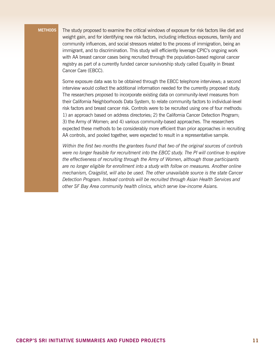**Methods** The study proposed to examine the critical windows of exposure for risk factors like diet and weight gain, and for identifying new risk factors, including infectious exposures, family and community influences, and social stressors related to the process of immigration, being an immigrant, and to discrimination. This study will efficiently leverage CPIC's ongoing work with AA breast cancer cases being recruited through the population-based regional cancer registry as part of a currently funded cancer survivorship study called Equality in Breast Cancer Care (EBCC).

> Some exposure data was to be obtained through the EBCC telephone interviews; a second interview would collect the additional information needed for the currently proposed study. The researchers proposed to incorporate existing data on community-level measures from their California Neighborhoods Data System, to relate community factors to individual-level risk factors and breast cancer risk. Controls were to be recruited using one of four methods: 1) an approach based on address directories; 2) the California Cancer Detection Program; 3) the Army of Women; and 4) various community-based approaches. The researchers expected these methods to be considerably more efficient than prior approaches in recruiting AA controls, and pooled together, were expected to result in a representative sample.

> *Within the first two months the grantees found that two of the original sources of controls were no longer feasible for recruitment into the EBCC study. The PI will continue to explore the effectiveness of recruiting through the Army of Women, although those participants are no longer eligible for enrollment into a study with follow on measures. Another online mechanism, Craigslist, will also be used. The other unavailable source is the state Cancer Detection Program. Instead controls will be recruited through Asian Health Services and other SF Bay Area community health clinics, which serve low-income Asians.*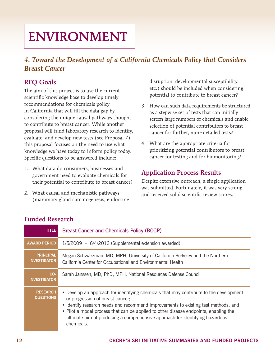# <span id="page-13-0"></span>**ENVIRONMENT**

## *4. Toward the Development of a California Chemicals Policy that Considers Breast Cancer*

## RFQ Goals

The aim of this project is to use the current scientific knowledge base to develop timely recommendations for chemicals policy in California that will fill the data gap by considering the unique causal pathways thought to contribute to breast cancer. While another proposal will fund laboratory research to identify, evaluate, and develop new tests (see Proposal 7), this proposal focuses on the need to use what knowledge we have today to inform policy today. Specific questions to be answered include:

- 1. What data do consumers, businesses and government need to evaluate chemicals for their potential to contribute to breast cancer?
- 2. What causal and mechanistic pathways (mammary gland carcinogenesis, endocrine

disruption, developmental susceptibility, etc.) should be included when considering potential to contribute to breast cancer?

- 3. How can such data requirements be structured as a stepwise set of tests that can initially screen large numbers of chemicals and enable selection of potential contributors to breast cancer for further, more detailed tests?
- 4. What are the appropriate criteria for prioritizing potential contributors to breast cancer for testing and for biomonitoring?

### Application Process Results

Despite extensive outreach, a single application was submitted. Fortunately, it was very strong and received solid scientific review scores.

| <b>TITLE</b>                            | <b>Breast Cancer and Chemicals Policy (BCCP)</b>                                                                                                                                                                                                                                                                                                                                                       |
|-----------------------------------------|--------------------------------------------------------------------------------------------------------------------------------------------------------------------------------------------------------------------------------------------------------------------------------------------------------------------------------------------------------------------------------------------------------|
| <b>AWARD PERIOD</b>                     | $1/5/2009$ - $6/4/2013$ (Supplemental extension awarded)                                                                                                                                                                                                                                                                                                                                               |
| <b>PRINCIPAL</b><br><b>INVESTIGATOR</b> | Megan Schwarzman, MD, MPH, University of California Berkeley and the Northern<br>California Center for Occupational and Environmental Health                                                                                                                                                                                                                                                           |
| CO-<br><b>INVESTIGATOR</b>              | Sarah Janssen, MD, PhD, MPH, National Resources Defense Council                                                                                                                                                                                                                                                                                                                                        |
| <b>RESEARCH</b><br><b>QUESTIONS</b>     | • Develop an approach for identifying chemicals that may contribute to the development<br>or progression of breast cancer;<br>• Identify research needs and recommend improvements to existing test methods; and<br>• Pilot a model process that can be applied to other disease endpoints, enabling the<br>ultimate aim of producing a comprehensive approach for identifying hazardous<br>chemicals. |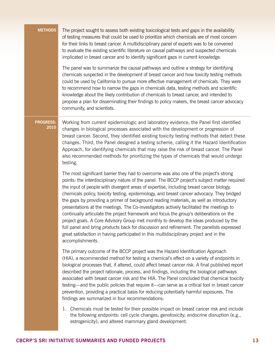| <b>METHODS</b>           | The project sought to assess both existing toxicological tests and gaps in the availability<br>of testing measures that could be used to prioritize which chemicals are of most concern<br>for their links to breast cancer. A multidisciplinary panel of experts was to be convened<br>to evaluate the existing scientific literature on causal pathways and suspected chemicals<br>implicated in breast cancer and to identify significant gaps in current knowledge.                                                                                                                                                                                                                                                                                                                                                                                                                                                                                                |
|--------------------------|------------------------------------------------------------------------------------------------------------------------------------------------------------------------------------------------------------------------------------------------------------------------------------------------------------------------------------------------------------------------------------------------------------------------------------------------------------------------------------------------------------------------------------------------------------------------------------------------------------------------------------------------------------------------------------------------------------------------------------------------------------------------------------------------------------------------------------------------------------------------------------------------------------------------------------------------------------------------|
|                          | The panel was to summarize the causal pathways and outline a strategy for identifying<br>chemicals suspected in the development of breast cancer and how toxicity testing methods<br>could be used by California to pursue more effective management of chemicals. They were<br>to recommend how to narrow the gaps in chemicals data, testing methods and scientific<br>knowledge about the likely contribution of chemicals to breast cancer, and intended to<br>propose a plan for disseminating their findings to policy makers, the breast cancer advocacy<br>community, and scientists.                                                                                                                                                                                                                                                                                                                                                                          |
| <b>PROGRESS:</b><br>2010 | Working from current epidemiologic and laboratory evidence, the Panel first identified<br>changes in biological processes associated with the development or progression of<br>breast cancer. Second, they identified existing toxicity testing methods that detect these<br>changes. Third, the Panel designed a testing scheme, calling it the Hazard Identification<br>Approach, for identifying chemicals that may raise the risk of breast cancer. The Panel<br>also recommended methods for prioritizing the types of chemicals that would undergo<br>testing.                                                                                                                                                                                                                                                                                                                                                                                                   |
|                          | The most significant barrier they had to overcome was also one of the project's strong<br>points: the interdisciplinary nature of the panel. The BCCP project's subject matter required<br>the input of people with divergent areas of expertise, including breast cancer biology,<br>chemicals policy, toxicity testing, epidemiology, and breast cancer advocacy. They bridged<br>the gaps by providing a primer of background reading materials, as well as introductory<br>presentations at the meetings. The Co-investigators actively facilitated the meetings to<br>continually articulate the project framework and focus the group's deliberations on the<br>project goals. A Core Advisory Group met monthly to develop the ideas produced by the<br>full panel and bring products back for discussion and refinement. The panelists expressed<br>great satisfaction in having participated in this multidisciplinary project and in the<br>accomplishments. |
|                          | The primary outcome of the BCCP project was the Hazard Identification Approach<br>(HIA), a recommended method for testing a chemical's effect on a variety of endpoints in<br>biological processes that, if altered, could affect breast cancer risk. A final published report<br>described the project rationale, process, and findings, including the biological pathways<br>associated with breast cancer risk and the HIA. The Panel concluded that chemical toxicity<br>testing—and the public policies that require it—can serve as a critical tool in breast cancer<br>prevention, providing a practical basis for reducing potentially harmful exposures. The<br>findings are summarized in four recommendations:                                                                                                                                                                                                                                              |
|                          | 1. Chemicals must be tested for their possible impact on breast cancer risk and include<br>the following endpoints: cell cycle changes; genotoxicity; endocrine disruption (e.g.,<br>estrogenicity); and altered mammary gland development.                                                                                                                                                                                                                                                                                                                                                                                                                                                                                                                                                                                                                                                                                                                            |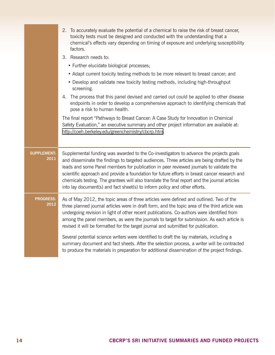|                            | 2. To accurately evaluate the potential of a chemical to raise the risk of breast cancer,<br>toxicity tests must be designed and conducted with the understanding that a<br>chemical's effects vary depending on timing of exposure and underlying susceptibility<br>factors.<br>3. Research needs to:<br>• Further elucidate biological processes;<br>• Adapt current toxicity testing methods to be more relevant to breast cancer; and<br>• Develop and validate new toxicity testing methods, including high-throughput<br>screening.<br>4. The process that this panel devised and carried out could be applied to other disease<br>endpoints in order to develop a comprehensive approach to identifying chemicals that<br>pose a risk to human health.<br>The final report "Pathways to Breast Cancer: A Case Study for Innovation in Chemical<br>Safety Evaluation," an executive summary and other project information are available at:<br>http://coeh.berkeley.edu/greenchemistry/cbcrp.htm. |
|----------------------------|---------------------------------------------------------------------------------------------------------------------------------------------------------------------------------------------------------------------------------------------------------------------------------------------------------------------------------------------------------------------------------------------------------------------------------------------------------------------------------------------------------------------------------------------------------------------------------------------------------------------------------------------------------------------------------------------------------------------------------------------------------------------------------------------------------------------------------------------------------------------------------------------------------------------------------------------------------------------------------------------------------|
| <b>SUPPLEMENT:</b><br>2011 | Supplemental funding was awarded to the Co-investigators to advance the projects goals<br>and disseminate the findings to targeted audiences. Three articles are being drafted by the<br>leads and some Panel members for publication in peer reviewed journals to validate the<br>scientific approach and provide a foundation for future efforts in breast cancer research and<br>chemicals testing. The grantees will also translate the final report and the journal articles<br>into lay document(s) and fact sheet(s) to inform policy and other efforts.                                                                                                                                                                                                                                                                                                                                                                                                                                         |
| <b>PROGRESS:</b><br>2012   | As of May 2012, the topic areas of three articles were defined and outlined. Two of the<br>three planned journal articles were in draft form, and the topic area of the third article was<br>undergoing revision in light of other recent publications. Co-authors were identified from<br>among the panel members, as were the journals to target for submission. As each article is<br>revised it will be formatted for the target journal and submitted for publication.                                                                                                                                                                                                                                                                                                                                                                                                                                                                                                                             |
|                            | Several potential science writers were identified to draft the lay materials, including a<br>summary document and fact sheets. After the selection process, a writer will be contracted<br>to produce the materials in preparation for additional dissemination of the project findings.                                                                                                                                                                                                                                                                                                                                                                                                                                                                                                                                                                                                                                                                                                                |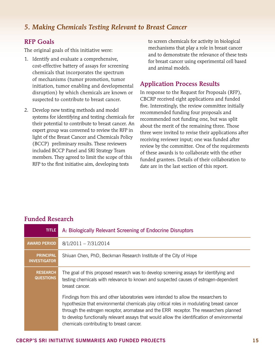### <span id="page-16-0"></span>*5. Making Chemicals Testing Relevant to Breast Cancer*

#### RFP Goals

The original goals of this initiative were:

- 1. Identify and evaluate a comprehensive, cost-effective battery of assays for screening chemicals that incorporates the spectrum of mechanisms (tumor promotion, tumor initiation, tumor enabling and developmental disruption) by which chemicals are known or suspected to contribute to breast cancer.
- 2. Develop new testing methods and model systems for identifying and testing chemicals for their potential to contribute to breast cancer. An expert group was convened to review the RFP in light of the Breast Cancer and Chemicals Policy (BCCP) preliminary results. These reviewers included BCCP Panel and SRI Strategy Team members. They agreed to limit the scope of this RFP to the first initiative aim, developing tests

to screen chemicals for activity in biological mechanisms that play a role in breast cancer and to demonstrate the relevance of these tests for breast cancer using experimental cell based and animal models.

#### Application Process Results

In response to the Request for Proposals (RFP), CBCRP received eight applications and funded five. Interestingly, the review committee initially recommended funding four proposals and recommended not funding one, but was split about the merit of the remaining three. Those three were invited to revise their applications after receiving reviewer input; one was funded after review by the committee. One of the requirements of these awards is to collaborate with the other funded grantees. Details of their collaboration to date are in the last section of this report.

| <b>TITLE</b>                            | A: Biologically Relevant Screening of Endocrine Disruptors                                                                                                                                                                                                                                                                                                                                                            |
|-----------------------------------------|-----------------------------------------------------------------------------------------------------------------------------------------------------------------------------------------------------------------------------------------------------------------------------------------------------------------------------------------------------------------------------------------------------------------------|
| <b>AWARD PERIOD</b>                     | $8/1/2011 - 7/31/2014$                                                                                                                                                                                                                                                                                                                                                                                                |
| <b>PRINCIPAL</b><br><b>INVESTIGATOR</b> | Shiuan Chen, PhD, Beckman Research Institute of the City of Hope                                                                                                                                                                                                                                                                                                                                                      |
| <b>RESEARCH</b><br><b>QUESTIONS</b>     | The goal of this proposed research was to develop screening assays for identifying and<br>testing chemicals with relevance to known and suspected causes of estrogen-dependent<br>breast cancer.                                                                                                                                                                                                                      |
|                                         | Findings from this and other laboratories were intended to allow the researchers to<br>hypothesize that environmental chemicals play critical roles in modulating breast cancer<br>through the estrogen receptor, aromatase and the ERR receptor. The researchers planned<br>to develop functionally relevant assays that would allow the identification of environmental<br>chemicals contributing to breast cancer. |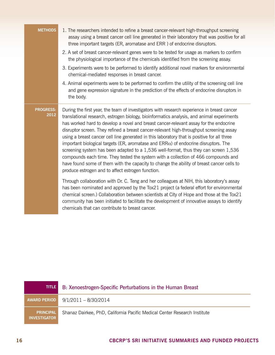| <b>METHODS</b>           | 1. The researchers intended to refine a breast cancer-relevant high-throughput screening<br>assay using a breast cancer cell line generated in their laboratory that was positive for all<br>three important targets (ER, aromatase and ERR) of endocrine disruptors.                                                                                                                                                                                                                                                                                                                                                                                                                                                                                                                                                                                                                                    |
|--------------------------|----------------------------------------------------------------------------------------------------------------------------------------------------------------------------------------------------------------------------------------------------------------------------------------------------------------------------------------------------------------------------------------------------------------------------------------------------------------------------------------------------------------------------------------------------------------------------------------------------------------------------------------------------------------------------------------------------------------------------------------------------------------------------------------------------------------------------------------------------------------------------------------------------------|
|                          | 2. A set of breast cancer-relevant genes were to be tested for usage as markers to confirm<br>the physiological importance of the chemicals identified from the screening assay.                                                                                                                                                                                                                                                                                                                                                                                                                                                                                                                                                                                                                                                                                                                         |
|                          | 3. Experiments were to be performed to identify additional novel markers for environmental<br>chemical-mediated responses in breast cancer.                                                                                                                                                                                                                                                                                                                                                                                                                                                                                                                                                                                                                                                                                                                                                              |
|                          | 4. Animal experiments were to be performed to confirm the utility of the screening cell line<br>and gene expression signature in the prediction of the effects of endocrine disruptors in<br>the body.                                                                                                                                                                                                                                                                                                                                                                                                                                                                                                                                                                                                                                                                                                   |
| <b>PROGRESS:</b><br>2012 | During the first year, the team of investigators with research experience in breast cancer<br>translational research, estrogen biology, bioinformatics analysis, and animal experiments<br>has worked hard to develop a novel and breast cancer-relevant assay for the endocrine<br>disruptor screen. They refined a breast cancer-relevant high-throughput screening assay<br>using a breast cancer cell line generated in this laboratory that is positive for all three<br>important biological targets (ER, aromatase and $ERR\alpha$ ) of endocrine disruptors. The<br>screening system has been adapted to a 1,536 well-format, thus they can screen 1,536<br>compounds each time. They tested the system with a collection of 466 compounds and<br>have found some of them with the capacity to change the ability of breast cancer cells to<br>produce estrogen and to affect estrogen function. |
|                          | Through collaboration with Dr. C. Teng and her colleagues at NIH, this laboratory's assay<br>has been nominated and approved by the Tox21 project (a federal effort for environmental<br>chemical screen.) Collaboration between scientists at City of Hope and those at the Tox21<br>community has been initiated to facilitate the development of innovative assays to identify<br>chemicals that can contribute to breast cancer.                                                                                                                                                                                                                                                                                                                                                                                                                                                                     |

| <b>TITLE</b>                            | B: Xenoestrogen-Specific Perturbations in the Human Breast                |
|-----------------------------------------|---------------------------------------------------------------------------|
| <b>AWARD PERIOD</b>                     | 9/1/2011 - 8/30/2014                                                      |
| <b>PRINCIPAL</b><br><b>INVESTIGATOR</b> | Shanaz Dairkee, PhD, California Pacific Medical Center Research Institute |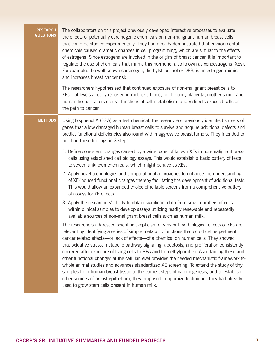| <b>RESEARCH</b><br><b>QUESTIONS</b> | The collaborators on this project previously developed interactive processes to evaluate<br>the effects of potentially carcinogenic chemicals on non-malignant human breast cells<br>that could be studied experimentally. They had already demonstrated that environmental<br>chemicals caused dramatic changes in cell programming, which are similar to the effects<br>of estrogens. Since estrogens are involved in the origins of breast cancer, it is important to<br>regulate the use of chemicals that mimic this hormone, also known as xenoestrogens (XEs).<br>For example, the well-known carcinogen, diethylstilbestrol or DES, is an estrogen mimic<br>and increases breast cancer risk.                                                                                                                                                                                                                     |
|-------------------------------------|---------------------------------------------------------------------------------------------------------------------------------------------------------------------------------------------------------------------------------------------------------------------------------------------------------------------------------------------------------------------------------------------------------------------------------------------------------------------------------------------------------------------------------------------------------------------------------------------------------------------------------------------------------------------------------------------------------------------------------------------------------------------------------------------------------------------------------------------------------------------------------------------------------------------------|
|                                     | The researchers hypothesized that continued exposure of non-malignant breast cells to<br>XEs—at levels already reported in mother's blood, cord blood, placenta, mother's milk and<br>human tissue-alters central functions of cell metabolism, and redirects exposed cells on<br>the path to cancer.                                                                                                                                                                                                                                                                                                                                                                                                                                                                                                                                                                                                                     |
| <b>METHODS</b>                      | Using bisphenol A (BPA) as a test chemical, the researchers previously identified six sets of<br>genes that allow damaged human breast cells to survive and acquire additional defects and<br>predict functional deficiencies also found within aggressive breast tumors. They intended to<br>build on these findings in 3 steps:                                                                                                                                                                                                                                                                                                                                                                                                                                                                                                                                                                                         |
|                                     | 1. Define consistent changes caused by a wide panel of known XEs in non-malignant breast<br>cells using established cell biology assays. This would establish a basic battery of tests<br>to screen unknown chemicals, which might behave as XEs.                                                                                                                                                                                                                                                                                                                                                                                                                                                                                                                                                                                                                                                                         |
|                                     | 2. Apply novel technologies and computational approaches to enhance the understanding<br>of XE-induced functional changes thereby facilitating the development of additional tests.<br>This would allow an expanded choice of reliable screens from a comprehensive battery<br>of assays for XE effects.                                                                                                                                                                                                                                                                                                                                                                                                                                                                                                                                                                                                                  |
|                                     | 3. Apply the researchers' ability to obtain significant data from small numbers of cells<br>within clinical samples to develop assays utilizing readily renewable and repeatedly<br>available sources of non-malignant breast cells such as human milk.                                                                                                                                                                                                                                                                                                                                                                                                                                                                                                                                                                                                                                                                   |
|                                     | The researchers addressed scientific skepticism of why or how biological effects of XEs are<br>relevant by identifying a series of simple metabolic functions that could define pertinent<br>cancer related effects-or lack of effects-of a chemical on human cells. They showed<br>that oxidative stress, metabolic pathway signaling, apoptosis, and proliferation consistently<br>occurred after exposure of living cells to BPA and to methylparaben. Ascertaining these and<br>other functional changes at the cellular level provides the needed mechanistic framework for<br>whole animal studies and advances standardized XE screening. To extend the study of tiny<br>samples from human breast tissue to the earliest steps of carcinogenesis, and to establish<br>other sources of breast epithelium, they proposed to optimize techniques they had already<br>used to grow stem cells present in human milk. |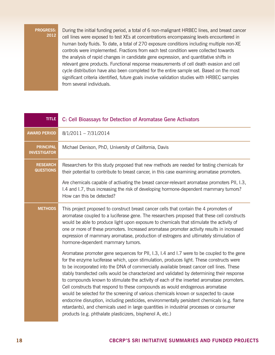During the initial funding period, a total of 6 non-malignant HRBEC lines, and breast cancer cell lines were exposed to test XEs at concentrations encompassing levels encountered in human body fluids. To date, a total of 270 exposure conditions including multiple non-XE controls were implemented. Fractions from each test condition were collected towards the analysis of rapid changes in candidate gene expression, and quantitative shifts in relevant gene products. Functional response measurements of cell death evasion and cell cycle distribution have also been completed for the entire sample set. Based on the most significant criteria identified, future goals involve validation studies with HRBEC samples from several individuals.

| <b>TITLE</b>                            | C: Cell Bioassays for Detection of Aromatase Gene Activators                                                                                                                                                                                                                                                                                                                                                                                                                                                                                                                                                                                                                                                                                                                                                                                                                                                     |
|-----------------------------------------|------------------------------------------------------------------------------------------------------------------------------------------------------------------------------------------------------------------------------------------------------------------------------------------------------------------------------------------------------------------------------------------------------------------------------------------------------------------------------------------------------------------------------------------------------------------------------------------------------------------------------------------------------------------------------------------------------------------------------------------------------------------------------------------------------------------------------------------------------------------------------------------------------------------|
| <b>AWARD PERIOD</b>                     | $8/1/2011 - 7/31/2014$                                                                                                                                                                                                                                                                                                                                                                                                                                                                                                                                                                                                                                                                                                                                                                                                                                                                                           |
| <b>PRINCIPAL</b><br><b>INVESTIGATOR</b> | Michael Denison, PhD, University of California, Davis                                                                                                                                                                                                                                                                                                                                                                                                                                                                                                                                                                                                                                                                                                                                                                                                                                                            |
| <b>RESEARCH</b><br><b>QUESTIONS</b>     | Researchers for this study proposed that new methods are needed for testing chemicals for<br>their potential to contribute to breast cancer, in this case examining aromatase promoters.                                                                                                                                                                                                                                                                                                                                                                                                                                                                                                                                                                                                                                                                                                                         |
|                                         | Are chemicals capable of activating the breast cancer-relevant aromatase promoters PII, I.3,<br>1.4 and 1.7, thus increasing the risk of developing hormone-dependent mammary tumors?<br>How can this be detected?                                                                                                                                                                                                                                                                                                                                                                                                                                                                                                                                                                                                                                                                                               |
| <b>METHODS</b>                          | This project proposed to construct breast cancer cells that contain the 4 promoters of<br>aromatase coupled to a luciferase gene. The researchers proposed that these cell constructs<br>would be able to produce light upon exposure to chemicals that stimulate the activity of<br>one or more of these promoters. Increased aromatase promoter activity results in increased<br>expression of mammary aromatase, production of estrogens and ultimately stimulation of<br>hormone-dependent mammary tumors.                                                                                                                                                                                                                                                                                                                                                                                                   |
|                                         | Aromatase promoter gene sequences for PII, 1.3, 1.4 and 1.7 were to be coupled to the gene<br>for the enzyme luciferase which, upon stimulation, produces light. These constructs were<br>to be incorporated into the DNA of commercially available breast cancer cell lines. These<br>stably transfected cells would be characterized and validated by determining their response<br>to compounds known to stimulate the activity of each of the inserted aromatase promoters.<br>Cell constructs that respond to these compounds as would endogenous aromatase<br>would be selected for the screening of various chemicals known or suspected to cause<br>endocrine disruption, including pesticides, environmentally persistent chemicals (e.g. flame<br>retardants), and chemicals used in large quantities in industrial processes or consumer<br>products (e.g. phthalate plasticizers, bisphenol A, etc.) |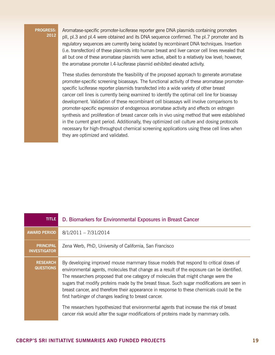Aromatase-specific promoter-luciferase reporter gene DNA plasmids containing promoters pII, pI.3 and pI.4 were obtained and its DNA sequence confirmed. The pI.7 promoter and its regulatory sequences are currently being isolated by recombinant DNA techniques. Insertion (i.e. transfection) of these plasmids into human breast and liver cancer cell lines revealed that all but one of these aromatase plasmids were active, albeit to a relatively low level; however, the aromatase promoter I.4-luciferase plasmid exhibited elevated activity.

These studies demonstrate the feasibility of the proposed approach to generate aromatase promoter-specific screening bioassays. The functional activity of these aromatase promoterspecific luciferase reporter plasmids transfected into a wide variety of other breast cancer cell lines is currently being examined to identify the optimal cell line for bioassay development. Validation of these recombinant cell bioassays will involve comparisons to promoter-specific expression of endogenous aromatase activity and effects on estrogen synthesis and proliferation of breast cancer cells in vivo using method that were established in the current grant period. Additionally, they optimized cell culture and dosing protocols necessary for high-throughput chemical screening applications using these cell lines when they are optimized and validated.

| <b>TITLE</b>                            | D. Biomarkers for Environmental Exposures in Breast Cancer                                                                                                                                                                                                                                                                                                                                                                                                                                                                                                                                                                                                                                                    |
|-----------------------------------------|---------------------------------------------------------------------------------------------------------------------------------------------------------------------------------------------------------------------------------------------------------------------------------------------------------------------------------------------------------------------------------------------------------------------------------------------------------------------------------------------------------------------------------------------------------------------------------------------------------------------------------------------------------------------------------------------------------------|
| <b>AWARD PERIOD</b>                     | $8/1/2011 - 7/31/2014$                                                                                                                                                                                                                                                                                                                                                                                                                                                                                                                                                                                                                                                                                        |
| <b>PRINCIPAL</b><br><b>INVESTIGATOR</b> | Zena Werb, PhD, University of California, San Francisco                                                                                                                                                                                                                                                                                                                                                                                                                                                                                                                                                                                                                                                       |
| <b>RESEARCH</b><br><b>QUESTIONS</b>     | By developing improved mouse mammary tissue models that respond to critical doses of<br>environmental agents, molecules that change as a result of the exposure can be identified.<br>The researchers proposed that one category of molecules that might change were the<br>sugars that modify proteins made by the breast tissue. Such sugar modifications are seen in<br>breast cancer, and therefore their appearance in response to these chemicals could be the<br>first harbinger of changes leading to breast cancer.<br>The researchers hypothesized that environmental agents that increase the risk of breast<br>cancer risk would alter the sugar modifications of proteins made by mammary cells. |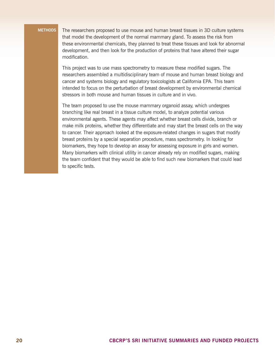**Methods** The researchers proposed to use mouse and human breast tissues in 3D culture systems that model the development of the normal mammary gland. To assess the risk from these environmental chemicals, they planned to treat these tissues and look for abnormal development, and then look for the production of proteins that have altered their sugar modification.

> This project was to use mass spectrometry to measure these modified sugars. The researchers assembled a multidisciplinary team of mouse and human breast biology and cancer and systems biology and regulatory toxicologists at California EPA. This team intended to focus on the perturbation of breast development by environmental chemical stressors in both mouse and human tissues in culture and in vivo.

> The team proposed to use the mouse mammary organoid assay, which undergoes branching like real breast in a tissue culture model, to analyze potential various environmental agents. These agents may affect whether breast cells divide, branch or make milk proteins, whether they differentiate and may start the breast cells on the way to cancer. Their approach looked at the exposure-related changes in sugars that modify breast proteins by a special separation procedure, mass spectrometry. In looking for biomarkers, they hope to develop an assay for assessing exposure in girls and women. Many biomarkers with clinical utility in cancer already rely on modified sugars, making the team confident that they would be able to find such new biomarkers that could lead to specific tests.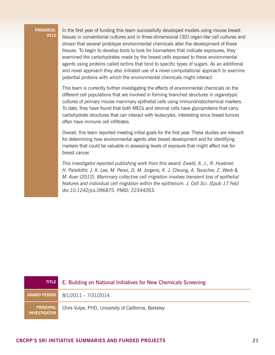In the first year of funding this team successfully developed models using mouse breast tissues in conventional cultures and in three-dimensional (3D) organ-like cell cultures and shown that several prototype environmental chemicals alter the development of these tissues. To begin to develop tools to look for biomarkers that indicate exposures, they examined the carbohydrates made by the breast cells exposed to these environmental agents using proteins called lectins that bind to specific types of sugars. As an additional and novel approach they also initiated use of a novel computational approach to examine potential proteins with which the environmental chemicals might interact.

This team is currently further investigating the effects of environmental chemicals on the different cell populations that are involved in forming branched structures in organotypic cultures of primary mouse mammary epithelial cells using immunohistochemical markers. To date, they have found that both MECs and stromal cells have glycoproteins that carry carbohydrate structures that can interact with leukocytes, interesting since breast tumors often have immune cell infiltrates.

Overall, this team reported meeting initial goals for the first year. These studies are relevant for determining how environmental agents alter breast development and for identifying markers that could be valuable in assessing levels of exposure that might affect risk for breast cancer.

*This investigator reported publishing work from this award: Ewald, A. J., R. Huebner, H. Palsdottir, J. K. Lee, M. Perez, D. M. Jorgens, K. J. Cheung, A. Tauscher, Z. Werb & M. Auer (2012). Mammary collective cell migration involves transient loss of epithelial features and individual cell migration within the epithelium. J. Cell Sci. [Epub 17 Feb] doi:10.1242/jcs.096875. PMID: 22344263.*

| <b>TITLE</b>                            | E. Building on National Initiatives for New Chemicals Screening |
|-----------------------------------------|-----------------------------------------------------------------|
| <b>AWARD PERIOD</b>                     | 8/1/2011 - 7/31/2014                                            |
| <b>PRINCIPAL</b><br><b>INVESTIGATOR</b> | Chris Vulpe, PHD, University of California, Berkeley            |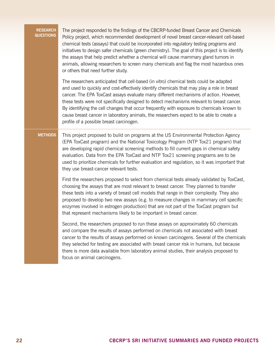| <b>RESEARCH</b><br><b>QUESTIONS</b> | The project responded to the findings of the CBCRP-funded Breast Cancer and Chemicals<br>Policy project, which recommended development of novel breast cancer-relevant cell-based<br>chemical tests (assays) that could be incorporated into regulatory testing programs and<br>initiatives to design safer chemicals (green chemistry). The goal of this project is to identify<br>the assays that help predict whether a chemical will cause mammary gland tumors in<br>animals, allowing researchers to screen many chemicals and flag the most hazardous ones<br>or others that need further study.          |
|-------------------------------------|------------------------------------------------------------------------------------------------------------------------------------------------------------------------------------------------------------------------------------------------------------------------------------------------------------------------------------------------------------------------------------------------------------------------------------------------------------------------------------------------------------------------------------------------------------------------------------------------------------------|
|                                     | The researchers anticipated that cell-based (in vitro) chemical tests could be adapted<br>and used to quickly and cost-effectively identify chemicals that may play a role in breast<br>cancer. The EPA ToxCast assays evaluate many different mechanisms of action. However,<br>these tests were not specifically designed to detect mechanisms relevant to breast cancer.<br>By identifying the cell changes that occur frequently with exposure to chemicals known to<br>cause breast cancer in laboratory animals, the researchers expect to be able to create a<br>profile of a possible breast carcinogen. |
| <b>METHODS</b>                      | This project proposed to build on programs at the US Environmental Protection Agency<br>(EPA ToxCast program) and the National Toxicology Program (NTP Tox21 program) that<br>are developing rapid chemical screening methods to fill current gaps in chemical safety<br>evaluation. Data from the EPA ToxCast and NTP Tox21 screening programs are to be<br>used to prioritize chemicals for further evaluation and regulation, so it was important that<br>they use breast-cancer relevant tests.                                                                                                              |
|                                     | First the researchers proposed to select from chemical tests already validated by ToxCast,<br>choosing the assays that are most relevant to breast cancer. They planned to transfer<br>these tests into a variety of breast cell models that range in their complexity. They also<br>proposed to develop two new assays (e.g. to measure changes in mammary cell specific<br>enzymes involved in estrogen production) that are not part of the ToxCast program but<br>that represent mechanisms likely to be important in breast cancer.                                                                         |
|                                     | Second, the researchers proposed to run these assays on approximately 60 chemicals<br>and compare the results of assays performed on chemicals not associated with breast<br>cancer to the results of assays performed on known carcinogens. Several of the chemicals<br>they selected for testing are associated with breast cancer risk in humans, but because<br>there is more data available from laboratory animal studies, their analysis proposed to<br>focus on animal carcinogens.                                                                                                                      |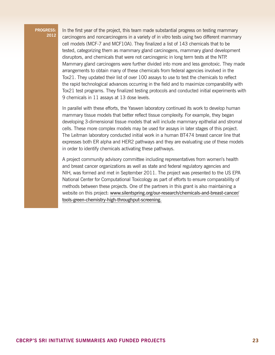In the first year of the project, this team made substantial progress on testing mammary carcinogens and noncarcinogens in a variety of in vitro tests using two different mammary cell models (MCF-7 and MCF10A). They finalized a list of 143 chemicals that to be tested, categorizing them as mammary gland carcinogens, mammary gland development disruptors, and chemicals that were not carcinogenic in long term tests at the NTP. Mammary gland carcinogens were further divided into more and less genotoxic. They made arrangements to obtain many of these chemicals from federal agencies involved in the Tox21. They updated their list of over 100 assays to use to test the chemicals to reflect the rapid technological advances occurring in the field and to maximize comparability with Tox21 test programs. They finalized testing protocols and conducted initial experiments with 9 chemicals in 11 assays at 13 dose levels.

In parallel with these efforts, the Yaswen laboratory continued its work to develop human mammary tissue models that better reflect tissue complexity. For example, they began developing 3-dimensional tissue models that will include mammary epithelial and stromal cells. These more complex models may be used for assays in later stages of this project. The Leitman laboratory conducted initial work in a human BT474 breast cancer line that expresses both ER alpha and HER2 pathways and they are evaluating use of these models in order to identify chemicals activating these pathways.

A project community advisory committee including representatives from women's health and breast cancer organizations as well as state and federal regulatory agencies and NIH, was formed and met in September 2011. The project was presented to the US EPA National Center for Computational Toxicology as part of efforts to ensure comparability of methods between these projects. One of the partners in this grant is also maintaining a website on this project: www.silentspring.org/our-research/chemicals-and-breast-cancer/ tools-green-chemistry-high-throughput-screening.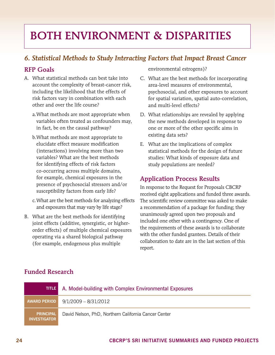## <span id="page-25-0"></span>BOTH ENVIRONMENT & DISPARITIES

## *6. Statistical Methods to Study Interacting Factors that Impact Breast Cancer*

#### RFP Goals

- A. What statistical methods can best take into account the complexity of breast-cancer risk, including the likelihood that the effects of risk factors vary in combination with each other and over the life course?
	- a.What methods are most appropriate when variables often treated as confounders may, in fact, be on the causal pathway?
	- b.What methods are most appropriate to elucidate effect measure modification (interactions) involving more than two variables? What are the best methods for identifying effects of risk factors co-occurring across multiple domains, for example, chemical exposures in the presence of psychosocial stressors and/or susceptibility factors from early life?
	- c.What are the best methods for analyzing effects and exposures that may vary by life stage?
- B. What are the best methods for identifying joint effects (additive, synergistic, or higherorder effects) of multiple chemical exposures operating via a shared biological pathway (for example, endogenous plus multiple

environmental estrogens)?

- C. What are the best methods for incorporating area-level measures of environmental, psychosocial, and other exposures to account for spatial variation, spatial auto-correlation, and multi-level effects?
- D. What relationships are revealed by applying the new methods developed in response to one or more of the other specific aims in existing data sets?
- E. What are the implications of complex statistical methods for the design of future studies: What kinds of exposure data and study populations are needed?

#### Application Process Results

In response to the Request for Proposals CBCRP received eight applications and funded three awards. The scientific review committee was asked to make a recommendation of a package for funding; they unanimously agreed upon two proposals and included one other with a contingency. One of the requirements of these awards is to collaborate with the other funded grantees. Details of their collaboration to date are in the last section of this report.

| <b>TITLE</b>                            | A. Model-building with Complex Environmental Exposures |
|-----------------------------------------|--------------------------------------------------------|
| AWARD PERIOD                            | $9/1/2009 - 8/31/2012$                                 |
| <b>PRINCIPAL</b><br><b>INVESTIGATOR</b> | David Nelson, PhD, Northern California Cancer Center   |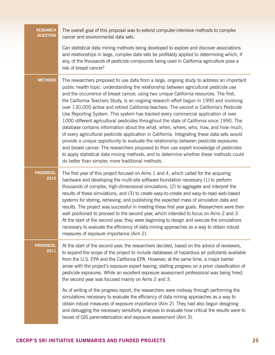| <b>RESEARCH</b><br><b>QUESTION</b> | The overall goal of this proposal was to extend computer-intensive methods to complex<br>cancer and environmental data sets.                                                                                                                                                                                                                                                                                                                                                                                                                                                                                                                                                                                                                                                                                                                                                                                                                                                                                                                                                                                                                                                     |
|------------------------------------|----------------------------------------------------------------------------------------------------------------------------------------------------------------------------------------------------------------------------------------------------------------------------------------------------------------------------------------------------------------------------------------------------------------------------------------------------------------------------------------------------------------------------------------------------------------------------------------------------------------------------------------------------------------------------------------------------------------------------------------------------------------------------------------------------------------------------------------------------------------------------------------------------------------------------------------------------------------------------------------------------------------------------------------------------------------------------------------------------------------------------------------------------------------------------------|
|                                    | Can statistical data mining methods being developed to explore and discover associations<br>and relationships in large, complex data sets be profitably applied to determining which, if<br>any, of the thousands of pesticide compounds being used in California agriculture pose a<br>risk of breast cancer?                                                                                                                                                                                                                                                                                                                                                                                                                                                                                                                                                                                                                                                                                                                                                                                                                                                                   |
| <b>METHODS</b>                     | The researchers proposed to use data from a large, ongoing study to address an important<br>public health topic: understanding the relationship between agricultural pesticide use<br>and the occurrence of breast cancer, using two unique California resources. The first,<br>the California Teachers Study, is an ongoing research effort begun in 1995 and involving<br>over 130,000 active and retired California teachers. The second is California's Pesticide<br>Use Reporting System. This system has tracked every commercial application of over<br>1000 different agricultural pesticides throughout the state of California since 1990. The<br>database contains information about the what, when, where, who, how, and how much,<br>of every agricultural pesticide application in California. Integrating these data sets would<br>provide a unique opportunity to evaluate the relationship between pesticide exposures<br>and breast cancer. The researchers proposed to then use expert knowledge of pesticides<br>to apply statistical data mining methods, and to determine whether these methods could<br>do better than simpler, more traditional methods. |
| <b>PROGRESS:</b><br>2010           | The first year of this project focused on Aims 1 and 4, which called for the acquiring<br>hardware and developing the multi-site software foundation necessary (1) to perform<br>thousands of complex, high-dimensional simulations, (2) to aggregate and interpret the<br>results of these simulations, and (3) to create easy-to-create and easy-to-read web-based<br>systems for storing, retrieving, and publishing the expected mass of simulation data and<br>results. The project was successful in meeting these first year goals. Researchers were then<br>well positioned to proceed to the second year, which intended to focus on Aims 2 and 3.<br>At the start of the second year, they were beginning to design and execute the simulations<br>necessary to evaluate the efficiency of data mining approaches as a way to obtain robust<br>measures of exposure importance (Aim 2).                                                                                                                                                                                                                                                                                |
| <b>PROGRESS:</b><br>2011           | At the start of the second year, the researchers decided, based on the advice of reviewers,<br>to expand the scope of the project to include databases of hazardous air pollutants available<br>from the U.S. EPA and the California EPA. However, at the same time, a major barrier<br>arose with the project's exposure expert leaving, stalling progress on a priori classification of<br>pesticide exposures. While an excellent exposure assessment professional was being hired,<br>the second year was focused mainly on Aims 2 and 3.                                                                                                                                                                                                                                                                                                                                                                                                                                                                                                                                                                                                                                    |
|                                    | As of writing of the progress report, the researchers were midway through performing the<br>simulations necessary to evaluate the efficiency of data mining approaches as a way to<br>obtain robust measures of exposure importance (Aim 2). They had also begun designing<br>and debugging the necessary sensitivity analyses to evaluate how critical the results were to<br>issues of GIS parameterization and exposure assessment (Aim 3).                                                                                                                                                                                                                                                                                                                                                                                                                                                                                                                                                                                                                                                                                                                                   |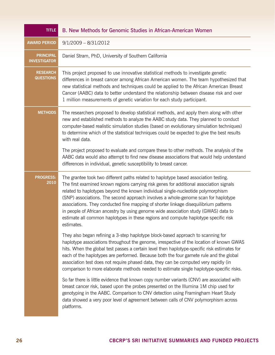| <b>TITLE</b>                            | B. New Methods for Genomic Studies in African-American Women                                                                                                                                                                                                                                                                                                                                                                                                                                                                                                                                                                                  |
|-----------------------------------------|-----------------------------------------------------------------------------------------------------------------------------------------------------------------------------------------------------------------------------------------------------------------------------------------------------------------------------------------------------------------------------------------------------------------------------------------------------------------------------------------------------------------------------------------------------------------------------------------------------------------------------------------------|
| <b>AWARD PERIOD</b>                     | $9/1/2009 - 8/31/2012$                                                                                                                                                                                                                                                                                                                                                                                                                                                                                                                                                                                                                        |
| <b>PRINCIPAL</b><br><b>INVESTIGATOR</b> | Daniel Stram, PhD, University of Southern California                                                                                                                                                                                                                                                                                                                                                                                                                                                                                                                                                                                          |
| <b>RESEARCH</b><br><b>QUESTIONS</b>     | This project proposed to use innovative statistical methods to investigate genetic<br>differences in breast cancer among African American women. The team hypothesized that<br>new statistical methods and techniques could be applied to the African American Breast<br>Cancer (AABC) data to better understand the relationship between disease risk and over<br>1 million measurements of genetic variation for each study participant.                                                                                                                                                                                                    |
| <b>METHODS</b>                          | The researchers proposed to develop statistical methods, and apply them along with other<br>new and established methods to analyze the AABC study data. They planned to conduct<br>computer-based realistic simulation studies (based on evolutionary simulation techniques)<br>to determine which of the statistical techniques could be expected to give the best results<br>with real data.                                                                                                                                                                                                                                                |
|                                         | The project proposed to evaluate and compare these to other methods. The analysis of the<br>AABC data would also attempt to find new disease associations that would help understand<br>differences in individual, genetic susceptibility to breast cancer.                                                                                                                                                                                                                                                                                                                                                                                   |
| <b>PROGRESS:</b><br>2010                | The grantee took two different paths related to haplotype based association testing.<br>The first examined known regions carrying risk genes for additional association signals<br>related to haplotypes beyond the known individual single-nucleotide polymorphism<br>(SNP) associations. The second approach involves a whole-genome scan for haplotype<br>associations. They conducted fine mapping of shorter linkage disequilibrium patterns<br>in people of African ancestry by using genome wide association study (GWAS) data to<br>estimate all common haplotypes in these regions and compute haplotype specific risk<br>estimates. |
|                                         | They also began refining a 3-step haplotype block-based approach to scanning for<br>haplotype associations throughout the genome, irrespective of the location of known GWAS<br>hits. When the global test passes a certain level then haplotype-specific risk estimates for<br>each of the haplotypes are performed. Because both the four gamete rule and the global<br>association test does not require phased data, they can be computed very rapidly (in<br>comparison to more elaborate methods needed to estimate single haplotype-specific risks.                                                                                    |
|                                         | So far there is little evidence that known copy number variants (CNV) are associated with<br>breast cancer risk, based upon the probes presented on the Illumina 1M chip used for<br>genotyping in the AABC. Comparison to CNV detection using Framingham Heart Study<br>data showed a very poor level of agreement between calls of CNV polymorphism across<br>platforms.                                                                                                                                                                                                                                                                    |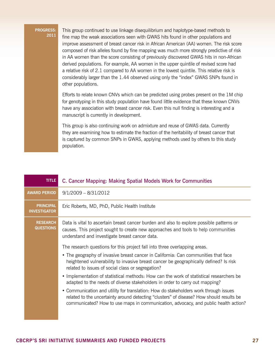This group continued to use linkage disequilibrium and haplotype-based methods to fine map the weak associations seen with GWAS hits found in other populations and improve assessment of breast cancer risk in African American (AA) women. The risk score composed of risk alleles found by fine mapping was much more strongly predictive of risk in AA women than the score consisting of previously discovered GWAS hits in non-African derived populations. For example, AA women in the upper quintile of revised score had a relative risk of 2.1 compared to AA women in the lowest quintile. This relative risk is considerably larger than the 1.44 observed using only the "index" GWAS SNPs found in other populations.

Efforts to relate known CNVs which can be predicted using probes present on the 1M chip for genotyping in this study population have found little evidence that these known CNVs have any association with breast cancer risk. Even this null finding is interesting and a manuscript is currently in development.

This group is also continuing work on admixture and reuse of GWAS data. Currently they are examining how to estimate the fraction of the heritability of breast cancer that is captured by common SNPs in GWAS, applying methods used by others to this study population.

| <b>TITLE</b>                            | C. Cancer Mapping: Making Spatial Models Work for Communities                                                                                                                                                                                                           |
|-----------------------------------------|-------------------------------------------------------------------------------------------------------------------------------------------------------------------------------------------------------------------------------------------------------------------------|
| <b>AWARD PERIOD</b>                     | $9/1/2009 - 8/31/2012$                                                                                                                                                                                                                                                  |
| <b>PRINCIPAL</b><br><b>INVESTIGATOR</b> | Eric Roberts, MD, PhD, Public Health Institute                                                                                                                                                                                                                          |
| <b>RESEARCH</b><br><b>QUESTIONS</b>     | Data is vital to ascertain breast cancer burden and also to explore possible patterns or<br>causes. This project sought to create new approaches and tools to help communities<br>understand and investigate breast cancer data.                                        |
|                                         | The research questions for this project fall into three overlapping areas.                                                                                                                                                                                              |
|                                         | • The geography of invasive breast cancer in California: Can communities that face<br>heightened vulnerability to invasive breast cancer be geographically defined? Is risk<br>related to issues of social class or segregation?                                        |
|                                         | • Implementation of statistical methods: How can the work of statistical researchers be<br>adapted to the needs of diverse stakeholders in order to carry out mapping?                                                                                                  |
|                                         | • Communication and utility for translation: How do stakeholders work through issues<br>related to the uncertainty around detecting "clusters" of disease? How should results be<br>communicated? How to use maps in communication, advocacy, and public health action? |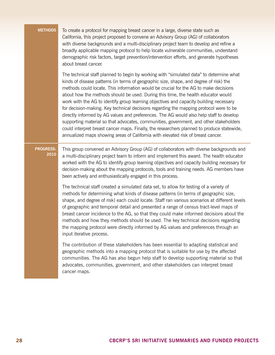| <b>METHODS</b>           | To create a protocol for mapping breast cancer in a large, diverse state such as<br>California, this project proposed to convene an Advisory Group (AG) of collaborators<br>with diverse backgrounds and a multi-disciplinary project team to develop and refine a<br>broadly applicable mapping protocol to help locate vulnerable communities, understand<br>demographic risk factors, target prevention/intervention efforts, and generate hypotheses<br>about breast cancer.                                                                                                                                                                                                                                                                                                                                                                                                                                          |
|--------------------------|---------------------------------------------------------------------------------------------------------------------------------------------------------------------------------------------------------------------------------------------------------------------------------------------------------------------------------------------------------------------------------------------------------------------------------------------------------------------------------------------------------------------------------------------------------------------------------------------------------------------------------------------------------------------------------------------------------------------------------------------------------------------------------------------------------------------------------------------------------------------------------------------------------------------------|
|                          | The technical staff planned to begin by working with "simulated data" to determine what<br>kinds of disease patterns (in terms of geographic size, shape, and degree of risk) the<br>methods could locate. This information would be crucial for the AG to make decisions<br>about how the methods should be used. During this time, the health educator would<br>work with the AG to identify group learning objectives and capacity building necessary<br>for decision-making. Key technical decisions regarding the mapping protocol were to be<br>directly informed by AG values and preferences. The AG would also help staff to develop<br>supporting material so that advocates, communities, government, and other stakeholders<br>could interpret breast cancer maps. Finally, the researchers planned to produce statewide,<br>annualized maps showing areas of California with elevated risk of breast cancer. |
| <b>PROGRESS:</b><br>2010 | This group convened an Advisory Group (AG) of collaborators with diverse backgrounds and<br>a multi-disciplinary project team to inform and implement this award. The health educator<br>worked with the AG to identify group learning objectives and capacity building necessary for<br>decision-making about the mapping protocols, tools and training needs. AG members have<br>been actively and enthusiastically engaged in this process.                                                                                                                                                                                                                                                                                                                                                                                                                                                                            |
|                          | The technical staff created a simulated data set, to allow for testing of a variety of<br>methods for determining what kinds of disease patterns (in terms of geographic size,<br>shape, and degree of risk) each could locate. Staff ran various scenarios at different levels<br>of geographic and temporal detail and presented a range of census tract-level maps of<br>breast cancer incidence to the AG, so that they could make informed decisions about the<br>methods and how they methods should be used. The key technical decisions regarding<br>the mapping protocol were directly informed by AG values and preferences through an<br>input iterative process.                                                                                                                                                                                                                                              |
|                          | The contribution of these stakeholders has been essential to adapting statistical and<br>geographic methods into a mapping protocol that is suitable for use by the affected<br>communities. The AG has also begun help staff to develop supporting material so that<br>advocates, communities, government, and other stakeholders can interpret breast<br>cancer maps.                                                                                                                                                                                                                                                                                                                                                                                                                                                                                                                                                   |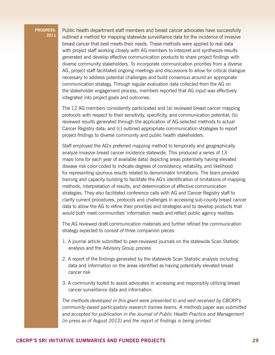Public health department staff members and breast cancer advocates have successfully outlined a method for mapping statewide surveillance data for the incidence of invasive breast cancer that best meets their needs. These methods were applied to real data with project staff working closely with AG members to interpret and synthesize results generated and develop effective communication products to share project findings with diverse community stakeholders. To incorporate communication priorities from a diverse AG, project staff facilitated ongoing meetings and discussions to allow for critical dialogue necessary to address potential challenges and build consensus around an appropriate communication strategy. Through regular evaluation data collected from the AG on the stakeholder engagement process, members reported that AG input was effectively integrated into project goals and outcomes.

The 12 AG members consistently participated and (a) reviewed breast cancer mapping protocols with respect to their sensitivity, specificity, and communication potential; (b) reviewed results generated through the application of AG-selected methods to actual Cancer Registry data; and (c) outlined appropriate communication strategies to report project findings to diverse community and public health stakeholders.

Staff employed the AG's preferred mapping method to temporally and geographically analyze invasive breast cancer incidence statewide. This produced a series of 13 maps (one for each year of available data) depicting areas potentially having elevated disease risk color-coded to indicate degrees of consistency, reliability, and likelihood for representing spurious results related to denominator limitations. The team provided training and capacity building to facilitate the AG's identification of limitations of mapping methods, interpretation of results, and determination of effective communication strategies. They also facilitated conference calls with AG and Cancer Registry staff to clarify current procedures, protocols and challenges in accessing sub-county breast cancer data to allow the AG to refine their priorities and strategies and to develop products that would both meet communities' information needs and reflect public agency realities.

The AG reviewed draft communication materials and further refined the communication strategy expected to consist of three companion pieces:

- 1. A journal article submitted to peer-reviewed journals on the statewide Scan Statistic analysis and the Advisory Group process
- 2. A report of the findings generated by the statewide Scan Statistic analysis including data and information on the areas identified as having potentially elevated breast cancer risk
- 3. A community toolkit to assist advocates in accessing and responsibly utilizing breast cancer surveillance data and information.

*The methods developed in this grant were presented to and well-received by CBCRP's community-based participatory research trainee teams. A methods paper was submitted and accepted for publication in the Journal of Public Health Practice and Management (in press as of August 2012) and the report of findings is being printed.*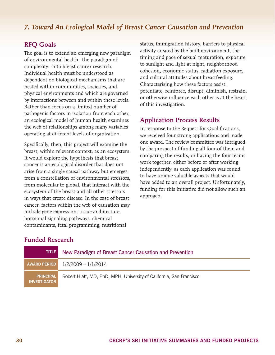## <span id="page-31-0"></span>*7. Toward An Ecological Model of Breast Cancer Causation and Prevention*

#### RFQ Goals

The goal is to extend an emerging new paradigm of environmental health—the paradigm of complexity—into breast cancer research. Individual health must be understood as dependent on biological mechanisms that are nested within communities, societies, and physical environments and which are governed by interactions between and within these levels. Rather than focus on a limited number of pathogenic factors in isolation from each other, an ecological model of human health examines the web of relationships among many variables operating at different levels of organization.

Specifically, then, this project will examine the breast, within relevant context, as an ecosystem. It would explore the hypothesis that breast cancer is an ecological disorder that does not arise from a single causal pathway but emerges from a constellation of environmental stressors, from molecular to global, that interact with the ecosystem of the breast and all other stressors in ways that create disease. In the case of breast cancer, factors within the web of causation may include gene expression, tissue architecture, hormonal signaling pathways, chemical contaminants, fetal programming, nutritional

status, immigration history, barriers to physical activity created by the built environment, the timing and pace of sexual maturation, exposure to sunlight and light at night, neighborhood cohesion, economic status, radiation exposure, and cultural attitudes about breastfeeding. Characterizing how these factors assist, potentiate, reinforce, disrupt, diminish, restrain, or otherwise influence each other is at the heart of this investigation.

#### Application Process Results

In response to the Request for Qualifications, we received four strong applications and made one award. The review committee was intrigued by the prospect of funding all four of them and comparing the results, or having the four teams work together, either before or after working independently, as each application was found to have unique valuable aspects that would have added to an overall project. Unfortunately, funding for this Initiative did not allow such an approach.

| <b>TITLE</b>                            | New Paradigm of Breast Cancer Causation and Prevention              |
|-----------------------------------------|---------------------------------------------------------------------|
| AWARD PERIOD                            | 1/2/2009 – 1/1/2014                                                 |
| <b>PRINCIPAL</b><br><b>INVESTIGATOR</b> | Robert Hiatt, MD, PhD, MPH, University of California, San Francisco |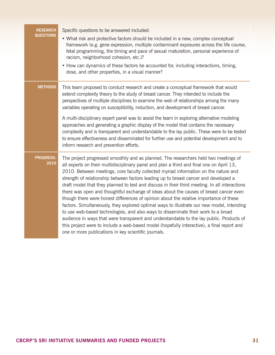| <b>RESEARCH</b>          | Specific questions to be answered included:                                                                                                                                                                                                                                                                                                                                                                                                                                                                                                                                                                                                                                                                                                                                                                                                                                                                                                                                                                                                                                               |
|--------------------------|-------------------------------------------------------------------------------------------------------------------------------------------------------------------------------------------------------------------------------------------------------------------------------------------------------------------------------------------------------------------------------------------------------------------------------------------------------------------------------------------------------------------------------------------------------------------------------------------------------------------------------------------------------------------------------------------------------------------------------------------------------------------------------------------------------------------------------------------------------------------------------------------------------------------------------------------------------------------------------------------------------------------------------------------------------------------------------------------|
| <b>QUESTIONS</b>         | • What risk and protective factors should be included in a new, complex conceptual<br>framework (e.g. gene expression, multiple contaminant exposures across the life course,<br>fetal programming, the timing and pace of sexual maturation, personal experience of<br>racism, neighborhood cohesion, etc.)?                                                                                                                                                                                                                                                                                                                                                                                                                                                                                                                                                                                                                                                                                                                                                                             |
|                          | • How can dynamics of these factors be accounted for, including interactions, timing,<br>dose, and other properties, in a visual manner?                                                                                                                                                                                                                                                                                                                                                                                                                                                                                                                                                                                                                                                                                                                                                                                                                                                                                                                                                  |
| <b>METHODS</b>           | This team proposed to conduct research and create a conceptual framework that would<br>extend complexity theory to the study of breast cancer. They intended to include the<br>perspectives of multiple disciplines to examine the web of relationships among the many<br>variables operating on susceptibility, induction, and development of breast cancer.                                                                                                                                                                                                                                                                                                                                                                                                                                                                                                                                                                                                                                                                                                                             |
|                          | A multi-disciplinary expert panel was to assist the team in exploring alternative modeling<br>approaches and generating a graphic display of the model that contains the necessary<br>complexity and is transparent and understandable to the lay public. These were to be tested<br>to ensure effectiveness and disseminated for further use and potential development and to<br>inform research and prevention efforts.                                                                                                                                                                                                                                                                                                                                                                                                                                                                                                                                                                                                                                                                 |
| <b>PROGRESS:</b><br>2010 | The project progressed smoothly and as planned. The researchers held two meetings of<br>all experts on their multidisciplinary panel and plan a third and final one on April 13,<br>2010. Between meetings, core faculty collected myriad information on the nature and<br>strength of relationship between factors leading up to breast cancer and developed a<br>draft model that they planned to test and discuss in their third meeting. In all interactions<br>there was open and thoughtful exchange of ideas about the causes of breast cancer even<br>though there were honest differences of opinion about the relative importance of these<br>factors. Simultaneously, they explored optimal ways to illustrate our new model, intending<br>to use web-based technologies, and also ways to disseminate their work to a broad<br>audience in ways that were transparent and understandable to the lay public. Products of<br>this project were to include a web-based model (hopefully interactive), a final report and<br>one or more publications in key scientific journals. |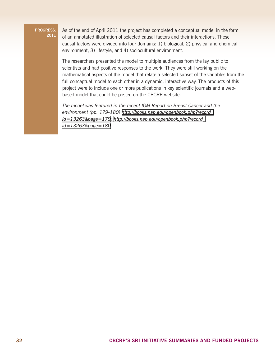As of the end of April 2011 the project has completed a conceptual model in the form of an annotated illustration of selected causal factors and their interactions. These causal factors were divided into four domains: 1) biological, 2) physical and chemical environment, 3) lifestyle, and 4) sociocultural environment.

The researchers presented the model to multiple audiences from the lay public to scientists and had positive responses to the work. They were still working on the mathematical aspects of the model that relate a selected subset of the variables from the full conceptual model to each other in a dynamic, interactive way. The products of this project were to include one or more publications in key scientific journals and a webbased model that could be posted on the CBCRP website.

*The model was featured in the recent IOM Report on Breast Cancer and the environment (pp. 179-180) [http://books.nap.edu/openbook.php?record\\_](http://books.nap.edu/openbook.php?record_id=13263&page=179) [id=13263&page=179;](http://books.nap.edu/openbook.php?record_id=13263&page=179) [http://books.nap.edu/openbook.php?record\\_](http://books.nap.edu/openbook.php?record_id=13263&page=180) [id=13263&page=180.](http://books.nap.edu/openbook.php?record_id=13263&page=180)*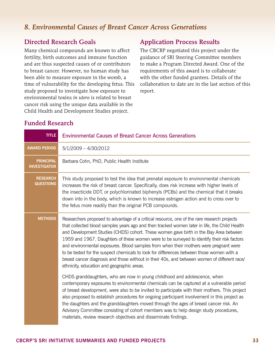### <span id="page-34-0"></span>*8. Environmental Causes of Breast Cancer Across Generations*

#### Directed Research Goals

Many chemical compounds are known to affect fertility, birth outcomes and immune function and are thus suspected causes of or contributors to breast cancer. However, no human study has been able to measure exposure in the womb, a time of vulnerability for the developing fetus. This study proposed to investigate how exposure to environmental toxins *in utero* is related to breast cancer risk using the unique data available in the Child Health and Development Studies project.

#### Application Process Results

The CBCRP negotiated this project under the guidance of SRI Steering Committee members to make a Program Directed Award. One of the requirements of this award is to collaborate with the other funded grantees. Details of the collaboration to date are in the last section of this report.

| <b>TITLE</b>                            | <b>Environmental Causes of Breast Cancer Across Generations</b>                                                                                                                                                                                                                                                                                                                                                                                                                                                                                                                                                                                                                                                         |
|-----------------------------------------|-------------------------------------------------------------------------------------------------------------------------------------------------------------------------------------------------------------------------------------------------------------------------------------------------------------------------------------------------------------------------------------------------------------------------------------------------------------------------------------------------------------------------------------------------------------------------------------------------------------------------------------------------------------------------------------------------------------------------|
| <b>AWARD PERIOD</b>                     | $5/1/2009 - 4/30/2012$                                                                                                                                                                                                                                                                                                                                                                                                                                                                                                                                                                                                                                                                                                  |
| <b>PRINCIPAL</b><br><b>INVESTIGATOR</b> | Barbara Cohn, PhD, Public Health Institute                                                                                                                                                                                                                                                                                                                                                                                                                                                                                                                                                                                                                                                                              |
| <b>RESEARCH</b><br><b>QUESTIONS</b>     | This study proposed to test the idea that prenatal exposure to environmental chemicals<br>increases the risk of breast cancer. Specifically, does risk increase with higher levels of<br>the insecticide DDT, or polychlorinated biphenyls (PCBs) and the chemical that it breaks<br>down into in the body, which is known to increase estrogen action and to cross over to<br>the fetus more readily than the original PCB compounds.                                                                                                                                                                                                                                                                                  |
| <b>METHODS</b>                          | Researchers proposed to advantage of a critical resource, one of the rare research projects<br>that collected blood samples years ago and then tracked women later in life, the Child Health<br>and Development Studies (CHDS) cohort. These women gave birth in the Bay Area between<br>1959 and 1967. Daughters of these women were to be surveyed to identify their risk factors<br>and environmental exposures. Blood samples from when their mothers were pregnant were<br>to be tested for the suspect chemicals to look for differences between those women with a<br>breast cancer diagnosis and those without in their 40s, and between women of different race/<br>ethnicity, education and geographic areas. |
|                                         | CHDS granddaughters, who are now in young childhood and adolescence, when<br>contemporary exposures to environmental chemicals can be captured at a vulnerable period<br>of breast development, were also to be invited to participate with their mothers. This project<br>also proposed to establish procedures for ongoing participant involvement in this project as<br>the daughters and the granddaughters moved through the ages of breast cancer risk. An<br>Advisory Committee consisting of cohort members was to help design study procedures,<br>materials, review research objectives and disseminate findings.                                                                                             |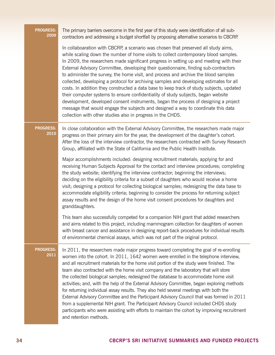| <b>PROGRESS:</b><br>2009 | The primary barriers overcome in the first year of this study were identification of all sub-<br>contractors and addressing a budget shortfall by proposing alternative scenarios to CBCRP.                                                                                                                                                                                                                                                                                                                                                                                                                                                                                                                                                                                                                                                                                                                                                                                 |
|--------------------------|-----------------------------------------------------------------------------------------------------------------------------------------------------------------------------------------------------------------------------------------------------------------------------------------------------------------------------------------------------------------------------------------------------------------------------------------------------------------------------------------------------------------------------------------------------------------------------------------------------------------------------------------------------------------------------------------------------------------------------------------------------------------------------------------------------------------------------------------------------------------------------------------------------------------------------------------------------------------------------|
|                          | In collaboaration with CBCRP, a scenario was chosen that preserved all study aims,<br>while scaling down the number of home visits to collect contemporary blood samples.<br>In 2009, the researchers made significant progress in setting up and meeting with their<br>External Advisory Committee, developing their questionnaire, finding sub-contractors<br>to administer the survey, the home visit, and process and archive the blood samples<br>collected, developing a protocol for archiving samples and developing estimates for all<br>costs. In addition they constructed a data base to keep track of study subjects, updated<br>their computer systems to ensure confidentiality of study subjects, began website<br>development, developed consent instruments, began the process of designing a project<br>message that would engage the subjects and designed a way to coordinate this data<br>collection with other studies also in progress in the CHDS. |
| <b>PROGRESS:</b><br>2010 | In close collaboration with the External Advisory Committee, the researchers made major<br>progress on their primary aim for the year, the development of the daughter's cohort.<br>After the loss of the interview contractor, the researchers contracted with Survey Research<br>Group, affiliated with the State of California and the Public Health Institute.                                                                                                                                                                                                                                                                                                                                                                                                                                                                                                                                                                                                          |
|                          | Major accomplishments included: designing recruitment materials; applying for and<br>receiving Human Subjects Approval for the contact and interview procedures; completing<br>the study website; identifying the interview contractor; beginning the interviews;<br>deciding on the eligibility criteria for a subset of daughters who would receive a home<br>visit; designing a protocol for collecting biological samples; redesigning the data base to<br>accommodate eligibility criteria; beginning to consider the process for returning subject<br>assay results and the design of the home visit consent procedures for daughters and<br>granddaughters.                                                                                                                                                                                                                                                                                                          |
|                          | This team also successfully competed for a companion NIH grant that added researchers<br>and aims related to this project, including mammogram collection for daughters of women<br>with breast cancer and assistance in designing report-back procedures for individual results<br>of environmental chemical assays, which was not part of the original protocol.                                                                                                                                                                                                                                                                                                                                                                                                                                                                                                                                                                                                          |
| <b>PROGRESS:</b><br>2011 | In 2011, the researchers made major progress toward completing the goal of re-enrolling<br>women into the cohort. In 2011, 1642 women were enrolled in the telephone interview,<br>and all recruitment materials for the home visit portion of the study were finished. The<br>team also contracted with the home visit company and the laboratory that will store<br>the collected biological samples; redesigned the database to accommodate home visit<br>activities; and, with the help of the External Advisory Committee, began exploring methods<br>for returning individual assay results. They also held several meetings with both the<br>External Advisory Committee and the Participant Advisory Council that was formed in 2011<br>from a supplemental NIH grant. The Participant Advisory Council included CHDS study<br>participants who were assisting with efforts to maintain the cohort by improving recruitment<br>and retention methods.               |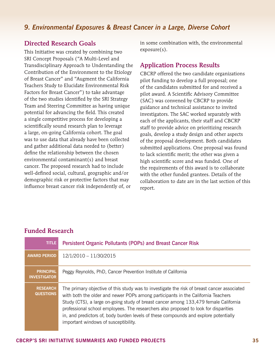#### <span id="page-36-0"></span>*9. Environmental Exposures & Breast Cancer in a Large, Diverse Cohort*

#### Directed Research Goals

This Initiative was created by combining two SRI Concept Proposals ("A Multi-Level and Transdisciplinary Approach to Understanding the Contribution of the Environment to the Etiology of Breast Cancer" and "Augment the California Teachers Study to Elucidate Environmental Risk Factors for Breast Cancer") to take advantage of the two studies identified by the SRI Strategy Team and Steering Committee as having unique potential for advancing the field. This created a single competitive process for developing a scientifically sound research plan to leverage a large, on-going California cohort. The goal was to use data that already have been collected and gather additional data needed to (better) define the relationship between the chosen environmental contaminant(s) and breast cancer. The proposed research had to include well-defined social, cultural, geographic and/or demographic risk or protective factors that may influence breast cancer risk independently of, or

in some combination with, the environmental exposure(s).

#### Application Process Results

CBCRP offered the two candidate organizations pilot funding to develop a full proposal; one of the candidates submitted for and received a pilot award. A Scientific Advisory Committee (SAC) was convened by CBCRP to provide guidance and technical assistance to invited investigators. The SAC worked separately with each of the applicants, their staff and CBCRP staff to provide advice on prioritizing research goals, develop a study design and other aspects of the proposal development. Both candidates submitted applications. One proposal was found to lack scientific merit; the other was given a high scientific score and was funded. One of the requirements of this award is to collaborate with the other funded grantees. Details of the collaboration to date are in the last section of this report.

| <b>TITLE</b>                            | Persistent Organic Pollutants (POPs) and Breast Cancer Risk                                                                                                                                                                                                                                                                                                                                                                                                                                     |
|-----------------------------------------|-------------------------------------------------------------------------------------------------------------------------------------------------------------------------------------------------------------------------------------------------------------------------------------------------------------------------------------------------------------------------------------------------------------------------------------------------------------------------------------------------|
| <b>AWARD PERIOD</b>                     | 12/1/2010 - 11/30/2015                                                                                                                                                                                                                                                                                                                                                                                                                                                                          |
| <b>PRINCIPAL</b><br><b>INVESTIGATOR</b> | Peggy Reynolds, PhD, Cancer Prevention Institute of California                                                                                                                                                                                                                                                                                                                                                                                                                                  |
| <b>RESEARCH.</b><br><b>QUESTIONS</b>    | The primary objective of this study was to investigate the risk of breast cancer associated<br>with both the older and newer POPs among participants in the California Teachers<br>Study (CTS), a large on-going study of breast cancer among 133,479 female California<br>professional school employees. The researchers also proposed to look for disparities<br>in, and predictors of, body burden levels of these compounds and explore potentially<br>important windows of susceptibility. |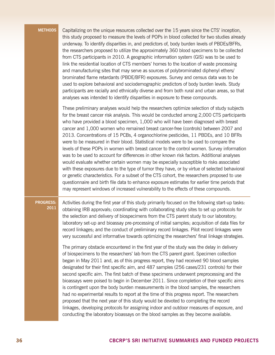**Methods** Capitalizing on the unique resources collected over the 15 years since the CTS' inception, this study proposed to measure the levels of POPs in blood collected for two studies already underway. To identify disparities in, and predictors of, body burden levels of PBDEs/BFRs, the researchers proposed to utilize the approximately 360 blood specimens to be collected from CTS participants in 2010. A geographic information system (GIS) was to be used to link the residential location of CTS members' homes to the location of waste processing and manufacturing sites that may serve as sources of polybrominated diphenyl ethers/ brominated flame retardants (PBDE/BFR) exposures. Survey and census data was to be used to explore behavioral and sociodemographic predictors of body burden levels. Study participants are racially and ethnically diverse and from both rural and urban areas, so that analyses was intended to identify disparities in exposure to these compounds.

> These preliminary analyses would help the researchers optimize selection of study subjects for the breast cancer risk analysis. This would be conducted among 2,000 CTS participants who have provided a blood specimen, 1,000 who will have been diagnosed with breast cancer and 1,000 women who remained breast cancer-free (controls) between 2007 and 2013. Concentrations of 15 PCBs, 4 organochlorine pesticides, 11 PBDEs, and 10 BFRs were to be measured in their blood. Statistical models were to be used to compare the levels of these POPs in women with breast cancer to the control women. Survey information was to be used to account for differences in other known risk factors. Additional analyses would evaluate whether certain women may be especially susceptible to risks associated with these exposures due to the type of tumor they have, or by virtue of selected behavioral or genetic characteristics. For a subset of the CTS cohort, the researchers proposed to use questionnaire and birth file data to enhance exposure estimates for earlier time periods that may represent windows of increased vulnerability to the effects of these compounds.

#### **Progress: 2011**

Activities during the first year of this study primarily focused on the following start-up tasks: obtaining IRB approvals; coordinating with collaborating study sites to set up protocols for the selection and delivery of biospecimens from the CTS parent study to our laboratory; laboratory set-up and bioassay pre-processing of initial samples; acquisition of data files for record linkages; and the conduct of preliminary record linkages. Pilot record linkages were very successful and informative towards optimizing the researchers' final linkage strategies.

The primary obstacle encountered in the first year of the study was the delay in delivery of biospecimens to the researchers' lab from the CTS parent grant. Specimen collection began in May 2011 and, as of this progress report, they had received 90 blood samples designated for their first specific aim, and 487 samples (256 cases/231 controls) for their second specific aim. The first batch of these specimens underwent preprocessing and the bioassays were poised to begin in December 2011. Since completion of their specific aims is contingent upon the body burden measurements in the blood samples, the researchers had no experimental results to report at the time of this progress report. The researchers proposed that the next year of this study would be devoted to completing the record linkages, developing protocols for assigning indoor and outdoor measures of exposure, and conducting the laboratory bioassays on the blood samples as they become available.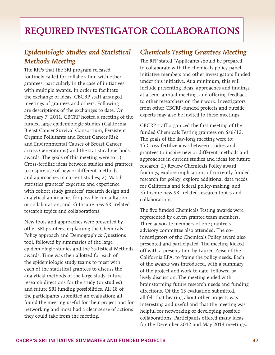## <span id="page-38-0"></span>Required Investigator Collaborations

## *Epidemiologic Studies and Statistical Methods Meeting*

The RFPs that the SRI program released routinely called for collaboration with other grantees, particularly in the case of initiatives with multiple awards. In order to facilitate the exchange of ideas, CBCRP staff arranged meetings of grantees and others. Following are descriptions of the exchanges to date. On February 7, 2011, CBCRP hosted a meeting of the funded large epidemiologic studies (California Breast Cancer Survival Consortium, Persistent Organic Pollutants and Breast Cancer Risk and Environmental Causes of Breast Cancer across Generations) and the statistical methods awards. The goals of this meeting were to 1) Cross-fertilize ideas between studies and grantees to inspire use of new or different methods and approaches in current studies; 2) Match statistics grantees' expertise and experience with cohort study grantees' research design and analytical approaches for possible consultation or collaboration; and 3) Inspire new SRI-related research topics and collaborations.

New tools and approaches were presented by other SRI grantees, explaining the Chemicals Policy approach and Demographics Questions tool, followed by summaries of the large epidemiologic studies and the Statistical Methods awards. Time was then allotted for each of the epidemiologic study teams to meet with each of the statistical grantees to discuss the analytical methods of the large study, future research directions for the study (or studies) and future SRI funding possibilities. All 18 of the participants submitted an evaluation; all found the meeting useful for their project and for networking and most had a clear sense of actions they could take from the meeting.

## *Chemicals Testing Grantees Meeting*

The RFP stated "Applicants should be prepared to collaborate with the chemicals policy panel initiative members and other investigators funded under this initiative. At a minimum, this will include presenting ideas, approaches and findings at a semi-annual meeting, and offering feedback to other researchers on their work. Investigators from other CBCRP-funded projects and outside experts may also be invited to these meetings.

CBCRP staff organized the first meeting of the funded Chemicals Testing grantees on 6/6/12. The goals of the day-long meeting were to: 1) Cross-fertilize ideas between studies and grantees to inspire new or different methods and approaches in current studies and ideas for future research; 2) Review Chemicals Policy award findings, explore implications of currently funded research for policy, explore additional data needs for California and federal policy-making; and 3) Inspire new SRI-related research topics and collaborations.

The five funded Chemicals Testing awards were represented by eleven grantee team members. Three advocate members of one grantee's advisory committee also attended. The coinvestigators of the Chemicals Policy award also presented and participated. The meeting kicked off with a presentation by Lauren Zeise of the California EPA, to frame the policy needs. Each of the awards was introduced, with a summary of the project and work to date, followed by lively discussion. The meeting ended with brainstorming future research needs and funding directions. Of the 13 evaluation submitted, all felt that hearing about other projects was interesting and useful and that the meeting was helpful for networking or developing possible collaborations. Participants offered many ideas for the December 2012 and May 2013 meetings.